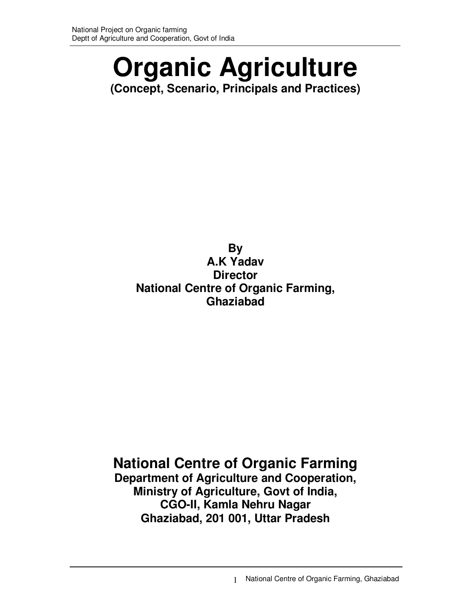# **Organic Agriculture (Concept, Scenario, Principals and Practices)**

# **By A.K Yadav Director National Centre of Organic Farming, Ghaziabad**

# **National Centre of Organic Farming**

**Department of Agriculture and Cooperation, Ministry of Agriculture, Govt of India, CGO-II, Kamla Nehru Nagar Ghaziabad, 201 001, Uttar Pradesh**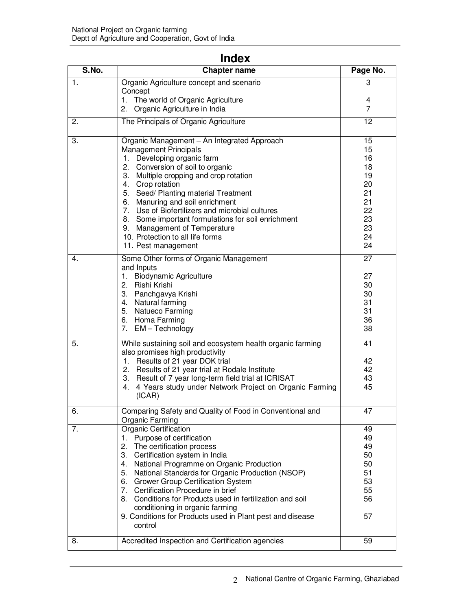| S.No. | II IUCY<br><b>Chapter name</b>                                                                 | Page No.       |
|-------|------------------------------------------------------------------------------------------------|----------------|
|       |                                                                                                |                |
| 1.    | Organic Agriculture concept and scenario<br>Concept                                            | 3              |
|       | 1. The world of Organic Agriculture                                                            | 4              |
|       | Organic Agriculture in India<br>2.                                                             | $\overline{7}$ |
|       |                                                                                                |                |
| 2.    | The Principals of Organic Agriculture                                                          | 12             |
| 3.    | Organic Management - An Integrated Approach                                                    | 15             |
|       | Management Principals                                                                          | 15             |
|       | 1. Developing organic farm                                                                     | 16             |
|       | Conversion of soil to organic<br>2.                                                            | 18             |
|       | 3.<br>Multiple cropping and crop rotation                                                      | 19             |
|       | 4. Crop rotation                                                                               | 20             |
|       | 5. Seed/ Planting material Treatment                                                           | 21             |
|       | 6. Manuring and soil enrichment                                                                | 21             |
|       | 7. Use of Biofertilizers and microbial cultures                                                | 22             |
|       | 8. Some important formulations for soil enrichment                                             | 23             |
|       | Management of Temperature<br>9.                                                                | 23             |
|       | 10. Protection to all life forms                                                               | 24             |
|       | 11. Pest management                                                                            | 24             |
| 4.    | Some Other forms of Organic Management<br>and Inputs                                           | 27             |
|       | 1. Biodynamic Agriculture                                                                      | 27             |
|       | 2. Rishi Krishi                                                                                | 30             |
|       | 3. Panchgavya Krishi                                                                           | 30             |
|       | 4. Natural farming                                                                             | 31             |
|       | 5. Natueco Farming                                                                             | 31             |
|       | 6. Homa Farming                                                                                | 36             |
|       | 7. EM - Technology                                                                             | 38             |
| 5.    | While sustaining soil and ecosystem health organic farming                                     | 41             |
|       | also promises high productivity                                                                |                |
|       | 1. Results of 21 year DOK trial                                                                | 42             |
|       | 2. Results of 21 year trial at Rodale Institute                                                | 42             |
|       | 3. Result of 7 year long-term field trial at ICRISAT                                           | 43             |
|       | 4 Years study under Network Project on Organic Farming<br>4.                                   | 45             |
|       | (ICAR)                                                                                         |                |
| 6.    | Comparing Safety and Quality of Food in Conventional and                                       | 47             |
| 7.    | Organic Farming<br><b>Organic Certification</b>                                                |                |
|       |                                                                                                | 49             |
|       | 1. Purpose of certification<br>2.                                                              | 49             |
|       | The certification process<br>3. Certification system in India                                  | 49<br>50       |
|       | 4. National Programme on Organic Production                                                    | 50             |
|       |                                                                                                | 51             |
|       | National Standards for Organic Production (NSOP)<br>5.<br>6. Grower Group Certification System | 53             |
|       | Certification Procedure in brief                                                               |                |
|       | 7.<br>8.<br>Conditions for Products used in fertilization and soil                             | 55<br>56       |
|       |                                                                                                |                |
|       | conditioning in organic farming                                                                | 57             |
|       | 9. Conditions for Products used in Plant pest and disease<br>control                           |                |
|       |                                                                                                |                |
| 8.    | Accredited Inspection and Certification agencies                                               | 59             |
|       |                                                                                                |                |

# **Index**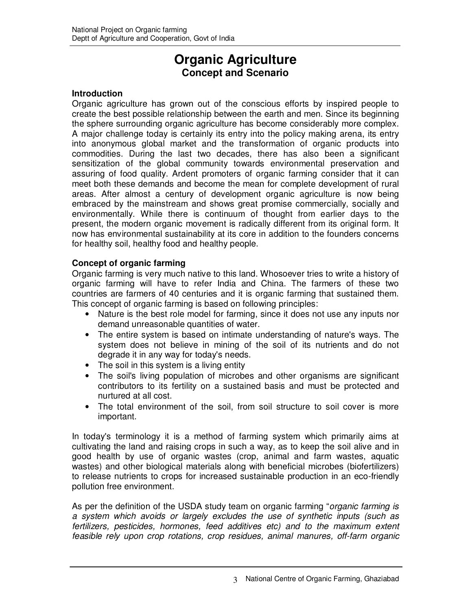# **Organic Agriculture Concept and Scenario**

#### **Introduction**

Organic agriculture has grown out of the conscious efforts by inspired people to create the best possible relationship between the earth and men. Since its beginning the sphere surrounding organic agriculture has become considerably more complex. A major challenge today is certainly its entry into the policy making arena, its entry into anonymous global market and the transformation of organic products into commodities. During the last two decades, there has also been a significant sensitization of the global community towards environmental preservation and assuring of food quality. Ardent promoters of organic farming consider that it can meet both these demands and become the mean for complete development of rural areas. After almost a century of development organic agriculture is now being embraced by the mainstream and shows great promise commercially, socially and environmentally. While there is continuum of thought from earlier days to the present, the modern organic movement is radically different from its original form. It now has environmental sustainability at its core in addition to the founders concerns for healthy soil, healthy food and healthy people.

#### **Concept of organic farming**

Organic farming is very much native to this land. Whosoever tries to write a history of organic farming will have to refer India and China. The farmers of these two countries are farmers of 40 centuries and it is organic farming that sustained them. This concept of organic farming is based on following principles:

- Nature is the best role model for farming, since it does not use any inputs nor demand unreasonable quantities of water.
- The entire system is based on intimate understanding of nature's ways. The system does not believe in mining of the soil of its nutrients and do not degrade it in any way for today's needs.
- The soil in this system is a living entity
- The soil's living population of microbes and other organisms are significant contributors to its fertility on a sustained basis and must be protected and nurtured at all cost.
- The total environment of the soil, from soil structure to soil cover is more important.

In today's terminology it is a method of farming system which primarily aims at cultivating the land and raising crops in such a way, as to keep the soil alive and in good health by use of organic wastes (crop, animal and farm wastes, aquatic wastes) and other biological materials along with beneficial microbes (biofertilizers) to release nutrients to crops for increased sustainable production in an eco-friendly pollution free environment.

As per the definition of the USDA study team on organic farming "*organic farming is* a system which avoids or largely excludes the use of synthetic inputs (such as fertilizers, pesticides, hormones, feed additives etc) and to the maximum extent feasible rely upon crop rotations, crop residues, animal manures, off-farm organic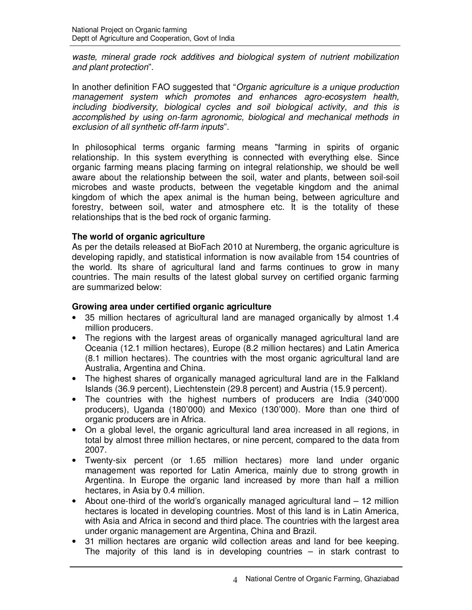waste, mineral grade rock additives and biological system of nutrient mobilization and plant protection".

In another definition FAO suggested that "Organic agriculture is a unique production management system which promotes and enhances agro-ecosystem health, including biodiversity, biological cycles and soil biological activity, and this is accomplished by using on-farm agronomic, biological and mechanical methods in exclusion of all synthetic off-farm inputs".

In philosophical terms organic farming means "farming in spirits of organic relationship. In this system everything is connected with everything else. Since organic farming means placing farming on integral relationship, we should be well aware about the relationship between the soil, water and plants, between soil-soil microbes and waste products, between the vegetable kingdom and the animal kingdom of which the apex animal is the human being, between agriculture and forestry, between soil, water and atmosphere etc. It is the totality of these relationships that is the bed rock of organic farming.

#### **The world of organic agriculture**

As per the details released at BioFach 2010 at Nuremberg, the organic agriculture is developing rapidly, and statistical information is now available from 154 countries of the world. Its share of agricultural land and farms continues to grow in many countries. The main results of the latest global survey on certified organic farming are summarized below:

#### **Growing area under certified organic agriculture**

- 35 million hectares of agricultural land are managed organically by almost 1.4 million producers.
- The regions with the largest areas of organically managed agricultural land are Oceania (12.1 million hectares), Europe (8.2 million hectares) and Latin America (8.1 million hectares). The countries with the most organic agricultural land are Australia, Argentina and China.
- The highest shares of organically managed agricultural land are in the Falkland Islands (36.9 percent), Liechtenstein (29.8 percent) and Austria (15.9 percent).
- The countries with the highest numbers of producers are India (340'000 producers), Uganda (180'000) and Mexico (130'000). More than one third of organic producers are in Africa.
- On a global level, the organic agricultural land area increased in all regions, in total by almost three million hectares, or nine percent, compared to the data from 2007.
- Twenty-six percent (or 1.65 million hectares) more land under organic management was reported for Latin America, mainly due to strong growth in Argentina. In Europe the organic land increased by more than half a million hectares, in Asia by 0.4 million.
- About one-third of the world's organically managed agricultural land 12 million hectares is located in developing countries. Most of this land is in Latin America, with Asia and Africa in second and third place. The countries with the largest area under organic management are Argentina, China and Brazil.
- 31 million hectares are organic wild collection areas and land for bee keeping. The majority of this land is in developing countries  $-$  in stark contrast to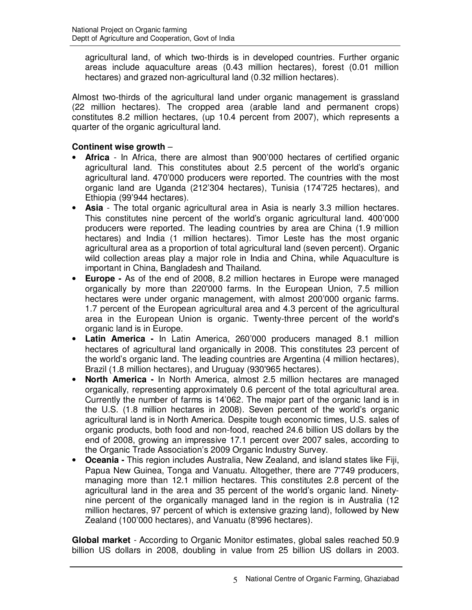agricultural land, of which two-thirds is in developed countries. Further organic areas include aquaculture areas (0.43 million hectares), forest (0.01 million hectares) and grazed non-agricultural land (0.32 million hectares).

Almost two-thirds of the agricultural land under organic management is grassland (22 million hectares). The cropped area (arable land and permanent crops) constitutes 8.2 million hectares, (up 10.4 percent from 2007), which represents a quarter of the organic agricultural land.

# **Continent wise growth** –

- **Africa** In Africa, there are almost than 900'000 hectares of certified organic agricultural land. This constitutes about 2.5 percent of the world's organic agricultural land. 470'000 producers were reported. The countries with the most organic land are Uganda (212'304 hectares), Tunisia (174'725 hectares), and Ethiopia (99'944 hectares).
- **Asia**  The total organic agricultural area in Asia is nearly 3.3 million hectares. This constitutes nine percent of the world's organic agricultural land. 400'000 producers were reported. The leading countries by area are China (1.9 million hectares) and India (1 million hectares). Timor Leste has the most organic agricultural area as a proportion of total agricultural land (seven percent). Organic wild collection areas play a major role in India and China, while Aquaculture is important in China, Bangladesh and Thailand.
- **Europe** As of the end of 2008, 8.2 million hectares in Europe were managed organically by more than 220'000 farms. In the European Union, 7.5 million hectares were under organic management, with almost 200'000 organic farms. 1.7 percent of the European agricultural area and 4.3 percent of the agricultural area in the European Union is organic. Twenty-three percent of the world's organic land is in Europe.
- **Latin America** In Latin America, 260'000 producers managed 8.1 million hectares of agricultural land organically in 2008. This constitutes 23 percent of the world's organic land. The leading countries are Argentina (4 million hectares), Brazil (1.8 million hectares), and Uruguay (930'965 hectares).
- **North America** In North America, almost 2.5 million hectares are managed organically, representing approximately 0.6 percent of the total agricultural area. Currently the number of farms is 14'062. The major part of the organic land is in the U.S. (1.8 million hectares in 2008). Seven percent of the world's organic agricultural land is in North America. Despite tough economic times, U.S. sales of organic products, both food and non-food, reached 24.6 billion US dollars by the end of 2008, growing an impressive 17.1 percent over 2007 sales, according to the Organic Trade Association's 2009 Organic Industry Survey.
- **Oceania** This region includes Australia, New Zealand, and island states like Fiji, Papua New Guinea, Tonga and Vanuatu. Altogether, there are 7'749 producers, managing more than 12.1 million hectares. This constitutes 2.8 percent of the agricultural land in the area and 35 percent of the world's organic land. Ninetynine percent of the organically managed land in the region is in Australia (12 million hectares, 97 percent of which is extensive grazing land), followed by New Zealand (100'000 hectares), and Vanuatu (8'996 hectares).

**Global market** - According to Organic Monitor estimates, global sales reached 50.9 billion US dollars in 2008, doubling in value from 25 billion US dollars in 2003.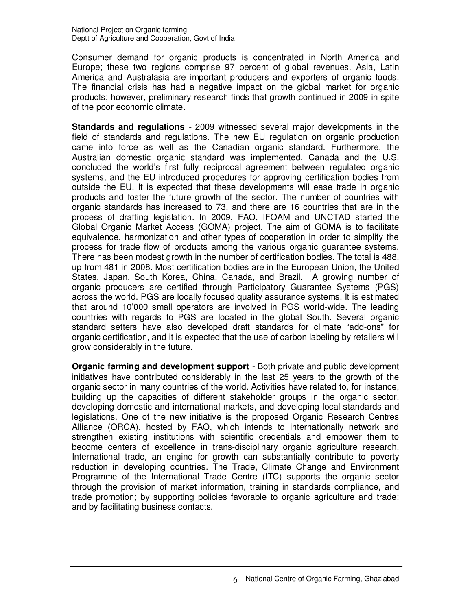Consumer demand for organic products is concentrated in North America and Europe; these two regions comprise 97 percent of global revenues. Asia, Latin America and Australasia are important producers and exporters of organic foods. The financial crisis has had a negative impact on the global market for organic products; however, preliminary research finds that growth continued in 2009 in spite of the poor economic climate.

**Standards and regulations** - 2009 witnessed several major developments in the field of standards and regulations. The new EU regulation on organic production came into force as well as the Canadian organic standard. Furthermore, the Australian domestic organic standard was implemented. Canada and the U.S. concluded the world's first fully reciprocal agreement between regulated organic systems, and the EU introduced procedures for approving certification bodies from outside the EU. It is expected that these developments will ease trade in organic products and foster the future growth of the sector. The number of countries with organic standards has increased to 73, and there are 16 countries that are in the process of drafting legislation. In 2009, FAO, IFOAM and UNCTAD started the Global Organic Market Access (GOMA) project. The aim of GOMA is to facilitate equivalence, harmonization and other types of cooperation in order to simplify the process for trade flow of products among the various organic guarantee systems. There has been modest growth in the number of certification bodies. The total is 488, up from 481 in 2008. Most certification bodies are in the European Union, the United States, Japan, South Korea, China, Canada, and Brazil. A growing number of organic producers are certified through Participatory Guarantee Systems (PGS) across the world. PGS are locally focused quality assurance systems. It is estimated that around 10'000 small operators are involved in PGS world-wide. The leading countries with regards to PGS are located in the global South. Several organic standard setters have also developed draft standards for climate "add-ons" for organic certification, and it is expected that the use of carbon labeling by retailers will grow considerably in the future.

**Organic farming and development support** - Both private and public development initiatives have contributed considerably in the last 25 years to the growth of the organic sector in many countries of the world. Activities have related to, for instance, building up the capacities of different stakeholder groups in the organic sector, developing domestic and international markets, and developing local standards and legislations. One of the new initiative is the proposed Organic Research Centres Alliance (ORCA), hosted by FAO, which intends to internationally network and strengthen existing institutions with scientific credentials and empower them to become centers of excellence in trans-disciplinary organic agriculture research. International trade, an engine for growth can substantially contribute to poverty reduction in developing countries. The Trade, Climate Change and Environment Programme of the International Trade Centre (ITC) supports the organic sector through the provision of market information, training in standards compliance, and trade promotion; by supporting policies favorable to organic agriculture and trade; and by facilitating business contacts.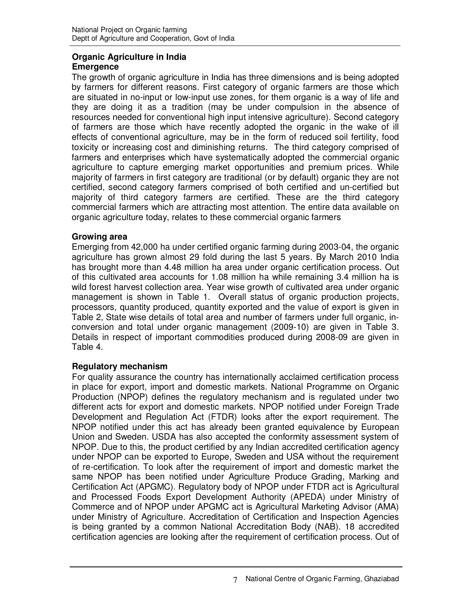#### **Organic Agriculture in India Emergence**

The growth of organic agriculture in India has three dimensions and is being adopted by farmers for different reasons. First category of organic farmers are those which are situated in no-input or low-input use zones, for them organic is a way of life and they are doing it as a tradition (may be under compulsion in the absence of resources needed for conventional high input intensive agriculture). Second category of farmers are those which have recently adopted the organic in the wake of ill effects of conventional agriculture, may be in the form of reduced soil fertility, food toxicity or increasing cost and diminishing returns. The third category comprised of farmers and enterprises which have systematically adopted the commercial organic agriculture to capture emerging market opportunities and premium prices. While majority of farmers in first category are traditional (or by default) organic they are not certified, second category farmers comprised of both certified and un-certified but majority of third category farmers are certified. These are the third category commercial farmers which are attracting most attention. The entire data available on organic agriculture today, relates to these commercial organic farmers

# **Growing area**

Emerging from 42,000 ha under certified organic farming during 2003-04, the organic agriculture has grown almost 29 fold during the last 5 years. By March 2010 India has brought more than 4.48 million ha area under organic certification process. Out of this cultivated area accounts for 1.08 million ha while remaining 3.4 million ha is wild forest harvest collection area. Year wise growth of cultivated area under organic management is shown in Table 1. Overall status of organic production projects, processors, quantity produced, quantity exported and the value of export is given in Table 2, State wise details of total area and number of farmers under full organic, inconversion and total under organic management (2009-10) are given in Table 3. Details in respect of important commodities produced during 2008-09 are given in Table 4.

# **Regulatory mechanism**

For quality assurance the country has internationally acclaimed certification process in place for export, import and domestic markets. National Programme on Organic Production (NPOP) defines the regulatory mechanism and is regulated under two different acts for export and domestic markets. NPOP notified under Foreign Trade Development and Regulation Act (FTDR) looks after the export requirement. The NPOP notified under this act has already been granted equivalence by European Union and Sweden. USDA has also accepted the conformity assessment system of NPOP. Due to this, the product certified by any Indian accredited certification agency under NPOP can be exported to Europe, Sweden and USA without the requirement of re-certification. To look after the requirement of import and domestic market the same NPOP has been notified under Agriculture Produce Grading, Marking and Certification Act (APGMC). Regulatory body of NPOP under FTDR act is Agricultural and Processed Foods Export Development Authority (APEDA) under Ministry of Commerce and of NPOP under APGMC act is Agricultural Marketing Advisor (AMA) under Ministry of Agriculture. Accreditation of Certification and Inspection Agencies is being granted by a common National Accreditation Body (NAB). 18 accredited certification agencies are looking after the requirement of certification process. Out of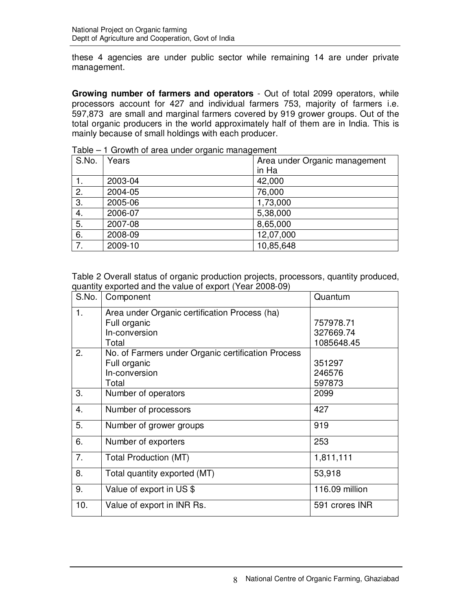these 4 agencies are under public sector while remaining 14 are under private management.

**Growing number of farmers and operators** - Out of total 2099 operators, while processors account for 427 and individual farmers 753, majority of farmers i.e. 597,873 are small and marginal farmers covered by 919 grower groups. Out of the total organic producers in the world approximately half of them are in India. This is mainly because of small holdings with each producer.

| S.No. | Years   | Area under Organic management |
|-------|---------|-------------------------------|
|       |         | in Ha                         |
|       | 2003-04 | 42,000                        |
| 2.    | 2004-05 | 76,000                        |
| 3.    | 2005-06 | 1,73,000                      |
| 4.    | 2006-07 | 5,38,000                      |
| 5.    | 2007-08 | 8,65,000                      |
| 6.    | 2008-09 | 12,07,000                     |
| 7.    | 2009-10 | 10,85,648                     |

Table – 1 Growth of area under organic management

Table 2 Overall status of organic production projects, processors, quantity produced, quantity exported and the value of export (Year 2008-09)

| S.No. | Component                                                                                    | Quantum                              |
|-------|----------------------------------------------------------------------------------------------|--------------------------------------|
| 1.    | Area under Organic certification Process (ha)<br>Full organic<br>In-conversion<br>Total      | 757978.71<br>327669.74<br>1085648.45 |
| 2.    | No. of Farmers under Organic certification Process<br>Full organic<br>In-conversion<br>Total | 351297<br>246576<br>597873           |
| 3.    | Number of operators                                                                          | 2099                                 |
| 4.    | Number of processors                                                                         | 427                                  |
| 5.    | Number of grower groups                                                                      | 919                                  |
| 6.    | Number of exporters                                                                          | 253                                  |
| 7.    | Total Production (MT)                                                                        | 1,811,111                            |
| 8.    | Total quantity exported (MT)                                                                 | 53,918                               |
| 9.    | Value of export in US \$                                                                     | 116.09 million                       |
| 10.   | Value of export in INR Rs.                                                                   | 591 crores INR                       |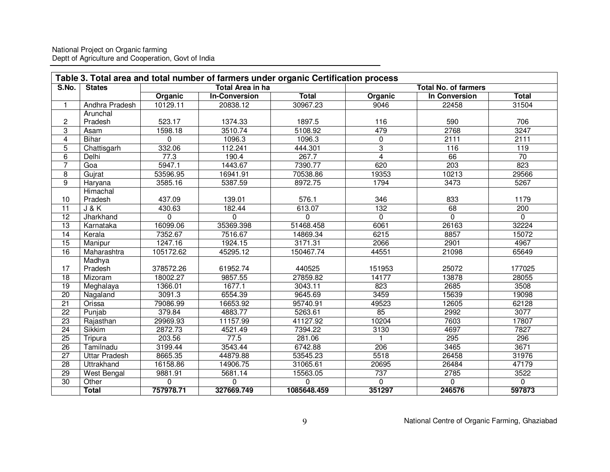| Table 3. Total area and total number of farmers under organic Certification process |                      |                      |                         |              |              |                             |              |
|-------------------------------------------------------------------------------------|----------------------|----------------------|-------------------------|--------------|--------------|-----------------------------|--------------|
| S.No.                                                                               | <b>States</b>        |                      | <b>Total Area in ha</b> |              |              | <b>Total No. of farmers</b> |              |
|                                                                                     |                      | Organic              | <b>In-Conversion</b>    | <b>Total</b> | Organic      | <b>In Conversion</b>        | <b>Total</b> |
| 1                                                                                   | Andhra Pradesh       | 10129.11             | 20838.12                | 30967.23     | 9046         | 22458                       | 31504        |
|                                                                                     | Arunchal             |                      |                         |              |              |                             |              |
| 2                                                                                   | Pradesh              | 523.17               | 1374.33                 | 1897.5       | 116          | 590                         | 706          |
| 3                                                                                   | Asam                 | 1598.18              | 3510.74                 | 5108.92      | 479          | 2768                        | 3247         |
| 4                                                                                   | Bihar                | 0                    | 1096.3                  | 1096.3       | $\mathbf 0$  | 2111                        | 2111         |
| $\overline{5}$                                                                      | Chattisgarh          | 332.06               | 112.241                 | 444.301      | 3            | 116                         | 119          |
| $\overline{6}$                                                                      | Delhi                | 77.3                 | 190.4                   | 267.7        | 4            | 66                          | 70           |
| $\overline{7}$                                                                      | Goa                  | $\overline{5947}$ .1 | 1443.67                 | 7390.77      | 620          | 203                         | 823          |
| 8                                                                                   | Gujrat               | 53596.95             | 16941.91                | 70538.86     | 19353        | 10213                       | 29566        |
| $\overline{9}$                                                                      | Haryana              | 3585.16              | 5387.59                 | 8972.75      | 1794         | 3473                        | 5267         |
|                                                                                     | Himachal             |                      |                         |              |              |                             |              |
| 10                                                                                  | Pradesh              | 437.09               | 139.01                  | 576.1        | 346          | 833                         | 1179         |
| $\overline{11}$                                                                     | J & K                | 430.63               | 182.44                  | 613.07       | 132          | 68                          | 200          |
| 12                                                                                  | Jharkhand            | $\Omega$             | 0                       | 0            | $\mathbf{0}$ | 0                           | $\Omega$     |
| $\overline{13}$                                                                     | Karnataka            | 16099.06             | 35369.398               | 51468.458    | 6061         | 26163                       | 32224        |
| $\overline{14}$                                                                     | Kerala               | 7352.67              | 7516.67                 | 14869.34     | 6215         | 8857                        | 15072        |
| 15                                                                                  | Manipur              | 1247.16              | 1924.15                 | 3171.31      | 2066         | 2901                        | 4967         |
| 16                                                                                  | Maharashtra          | 105172.62            | 45295.12                | 150467.74    | 44551        | 21098                       | 65649        |
|                                                                                     | Madhya               |                      |                         |              |              |                             |              |
| 17                                                                                  | Pradesh              | 378572.26            | 61952.74                | 440525       | 151953       | 25072                       | 177025       |
| 18                                                                                  | Mizoram              | 18002.27             | 9857.55                 | 27859.82     | 14177        | 13878                       | 28055        |
| 19                                                                                  | Meghalaya            | 1366.01              | 1677.1                  | 3043.11      | 823          | 2685                        | 3508         |
| 20                                                                                  | Nagaland             | 3091.3               | 6554.39                 | 9645.69      | 3459         | 15639                       | 19098        |
| 21                                                                                  | Orissa               | 79086.99             | 16653.92                | 95740.91     | 49523        | 12605                       | 62128        |
| $\overline{22}$                                                                     | Punjab               | 379.84               | 4883.77                 | 5263.61      | 85           | 2992                        | 3077         |
| 23                                                                                  | Rajasthan            | 29969.93             | 11157.99                | 41127.92     | 10204        | 7603                        | 17807        |
| 24                                                                                  | Sikkim               | 2872.73              | 4521.49                 | 7394.22      | 3130         | 4697                        | 7827         |
| 25                                                                                  | Tripura              | 203.56               | 77.5                    | 281.06       | $\mathbf{1}$ | 295                         | 296          |
| 26                                                                                  | Tamilnadu            | 3199.44              | 3543.44                 | 6742.88      | 206          | 3465                        | 3671         |
| $\overline{27}$                                                                     | <b>Uttar Pradesh</b> | 8665.35              | 44879.88                | 53545.23     | 5518         | 26458                       | 31976        |
| 28                                                                                  | Uttrakhand           | 16158.86             | 14906.75                | 31065.61     | 20695        | 26484                       | 47179        |
| $\overline{29}$                                                                     | West Bengal          | 9881.91              | 5681.14                 | 15563.05     | 737          | 2785                        | 3522         |
| $\overline{30}$                                                                     | Other                | 0                    | 0                       | 0            | $\mathbf{0}$ | 0                           | 0            |
|                                                                                     | <b>Total</b>         | 757978.71            | 327669.749              | 1085648.459  | 351297       | 246576                      | 597873       |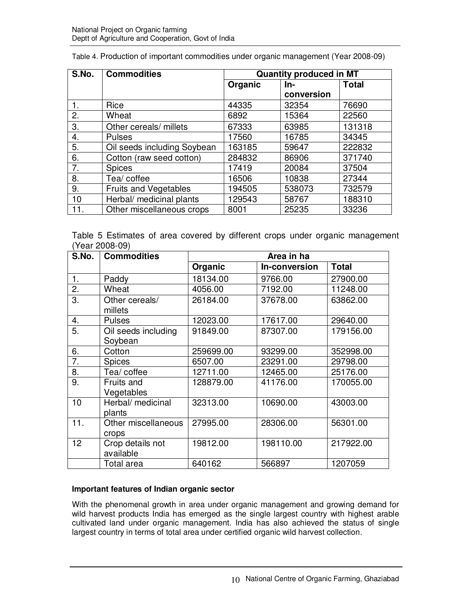| S.No. | <b>Commodities</b>           | <b>Quantity produced in MT</b> |            |              |
|-------|------------------------------|--------------------------------|------------|--------------|
|       |                              | Organic                        | $In-$      | <b>Total</b> |
|       |                              |                                | conversion |              |
| 1.    | Rice                         | 44335                          | 32354      | 76690        |
| 2.    | Wheat                        | 6892                           | 15364      | 22560        |
| 3.    | Other cereals/ millets       | 67333                          | 63985      | 131318       |
| 4.    | <b>Pulses</b>                | 17560                          | 16785      | 34345        |
| 5.    | Oil seeds including Soybean  | 163185                         | 59647      | 222832       |
| 6.    | Cotton (raw seed cotton)     | 284832                         | 86906      | 371740       |
| 7.    | <b>Spices</b>                | 17419                          | 20084      | 37504        |
| 8.    | Tea/ coffee                  | 16506                          | 10838      | 27344        |
| 9.    | <b>Fruits and Vegetables</b> | 194505                         | 538073     | 732579       |
| 10    | Herbal/ medicinal plants     | 129543                         | 58767      | 188310       |
| 11.   | Other miscellaneous crops    | 8001                           | 25235      | 33236        |

Table 4. Production of important commodities under organic management (Year 2008-09)

Table 5 Estimates of area covered by different crops under organic management (Year 2008-09)

| S.No. | <b>Commodities</b>             | Area in ha |               |              |  |
|-------|--------------------------------|------------|---------------|--------------|--|
|       |                                | Organic    | In-conversion | <b>Total</b> |  |
| 1.    | Paddy                          | 18134.00   | 9766.00       | 27900.00     |  |
| 2.    | Wheat                          | 4056.00    | 7192.00       | 11248.00     |  |
| 3.    | Other cereals/<br>millets      | 26184.00   | 37678.00      | 63862.00     |  |
| 4.    | <b>Pulses</b>                  | 12023.00   | 17617.00      | 29640.00     |  |
| 5.    | Oil seeds including<br>Soybean | 91849.00   | 87307.00      | 179156.00    |  |
| 6.    | Cotton                         | 259699.00  | 93299.00      | 352998.00    |  |
| 7.    | Spices                         | 6507.00    | 23291.00      | 29798.00     |  |
| 8.    | Tea/ coffee                    | 12711.00   | 12465.00      | 25176.00     |  |
| 9.    | Fruits and<br>Vegetables       | 128879.00  | 41176.00      | 170055.00    |  |
| 10    | Herbal/ medicinal<br>plants    | 32313.00   | 10690.00      | 43003.00     |  |
| 11.   | Other miscellaneous<br>crops   | 27995.00   | 28306.00      | 56301.00     |  |
| 12    | Crop details not<br>available  | 19812.00   | 198110.00     | 217922.00    |  |
|       | Total area                     | 640162     | 566897        | 1207059      |  |

#### **Important features of Indian organic sector**

With the phenomenal growth in area under organic management and growing demand for wild harvest products India has emerged as the single largest country with highest arable cultivated land under organic management. India has also achieved the status of single largest country in terms of total area under certified organic wild harvest collection.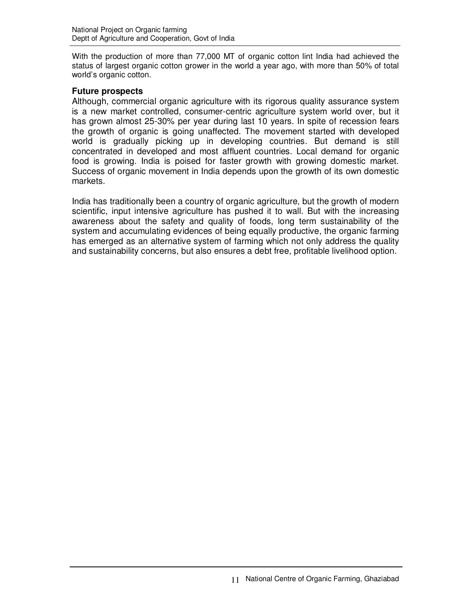With the production of more than 77,000 MT of organic cotton lint India had achieved the status of largest organic cotton grower in the world a year ago, with more than 50% of total world's organic cotton.

#### **Future prospects**

Although, commercial organic agriculture with its rigorous quality assurance system is a new market controlled, consumer-centric agriculture system world over, but it has grown almost 25-30% per year during last 10 years. In spite of recession fears the growth of organic is going unaffected. The movement started with developed world is gradually picking up in developing countries. But demand is still concentrated in developed and most affluent countries. Local demand for organic food is growing. India is poised for faster growth with growing domestic market. Success of organic movement in India depends upon the growth of its own domestic markets.

India has traditionally been a country of organic agriculture, but the growth of modern scientific, input intensive agriculture has pushed it to wall. But with the increasing awareness about the safety and quality of foods, long term sustainability of the system and accumulating evidences of being equally productive, the organic farming has emerged as an alternative system of farming which not only address the quality and sustainability concerns, but also ensures a debt free, profitable livelihood option.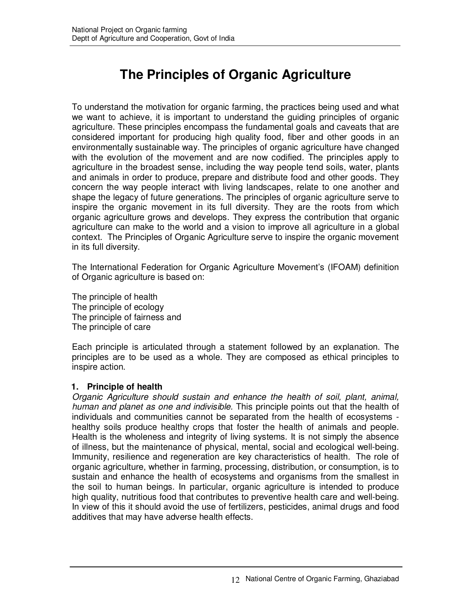# **The Principles of Organic Agriculture**

To understand the motivation for organic farming, the practices being used and what we want to achieve, it is important to understand the guiding principles of organic agriculture. These principles encompass the fundamental goals and caveats that are considered important for producing high quality food, fiber and other goods in an environmentally sustainable way. The principles of organic agriculture have changed with the evolution of the movement and are now codified. The principles apply to agriculture in the broadest sense, including the way people tend soils, water, plants and animals in order to produce, prepare and distribute food and other goods. They concern the way people interact with living landscapes, relate to one another and shape the legacy of future generations. The principles of organic agriculture serve to inspire the organic movement in its full diversity. They are the roots from which organic agriculture grows and develops. They express the contribution that organic agriculture can make to the world and a vision to improve all agriculture in a global context. The Principles of Organic Agriculture serve to inspire the organic movement in its full diversity.

The International Federation for Organic Agriculture Movement's (IFOAM) definition of Organic agriculture is based on:

The principle of health The principle of ecology The principle of fairness and The principle of care

Each principle is articulated through a statement followed by an explanation. The principles are to be used as a whole. They are composed as ethical principles to inspire action.

#### **1. Principle of health**

Organic Agriculture should sustain and enhance the health of soil, plant, animal, human and planet as one and indivisible. This principle points out that the health of individuals and communities cannot be separated from the health of ecosystems healthy soils produce healthy crops that foster the health of animals and people. Health is the wholeness and integrity of living systems. It is not simply the absence of illness, but the maintenance of physical, mental, social and ecological well-being. Immunity, resilience and regeneration are key characteristics of health. The role of organic agriculture, whether in farming, processing, distribution, or consumption, is to sustain and enhance the health of ecosystems and organisms from the smallest in the soil to human beings. In particular, organic agriculture is intended to produce high quality, nutritious food that contributes to preventive health care and well-being. In view of this it should avoid the use of fertilizers, pesticides, animal drugs and food additives that may have adverse health effects.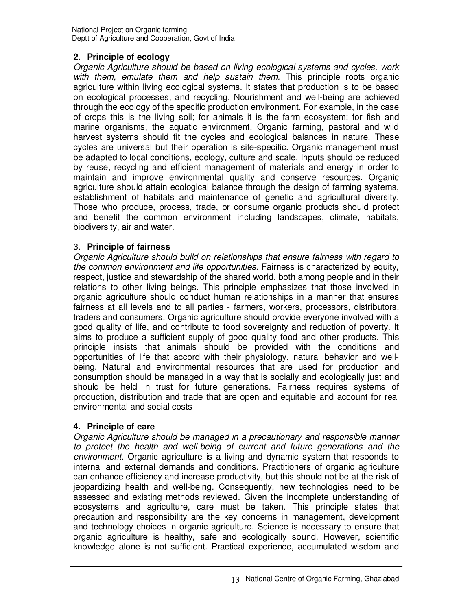#### **2. Principle of ecology**

Organic Agriculture should be based on living ecological systems and cycles, work with them, emulate them and help sustain them. This principle roots organic agriculture within living ecological systems. It states that production is to be based on ecological processes, and recycling. Nourishment and well-being are achieved through the ecology of the specific production environment. For example, in the case of crops this is the living soil; for animals it is the farm ecosystem; for fish and marine organisms, the aquatic environment. Organic farming, pastoral and wild harvest systems should fit the cycles and ecological balances in nature. These cycles are universal but their operation is site-specific. Organic management must be adapted to local conditions, ecology, culture and scale. Inputs should be reduced by reuse, recycling and efficient management of materials and energy in order to maintain and improve environmental quality and conserve resources. Organic agriculture should attain ecological balance through the design of farming systems, establishment of habitats and maintenance of genetic and agricultural diversity. Those who produce, process, trade, or consume organic products should protect and benefit the common environment including landscapes, climate, habitats, biodiversity, air and water.

#### 3. **Principle of fairness**

Organic Agriculture should build on relationships that ensure fairness with regard to the common environment and life opportunities. Fairness is characterized by equity, respect, justice and stewardship of the shared world, both among people and in their relations to other living beings. This principle emphasizes that those involved in organic agriculture should conduct human relationships in a manner that ensures fairness at all levels and to all parties - farmers, workers, processors, distributors, traders and consumers. Organic agriculture should provide everyone involved with a good quality of life, and contribute to food sovereignty and reduction of poverty. It aims to produce a sufficient supply of good quality food and other products. This principle insists that animals should be provided with the conditions and opportunities of life that accord with their physiology, natural behavior and wellbeing. Natural and environmental resources that are used for production and consumption should be managed in a way that is socially and ecologically just and should be held in trust for future generations. Fairness requires systems of production, distribution and trade that are open and equitable and account for real environmental and social costs

# **4. Principle of care**

Organic Agriculture should be managed in a precautionary and responsible manner to protect the health and well-being of current and future generations and the environment. Organic agriculture is a living and dynamic system that responds to internal and external demands and conditions. Practitioners of organic agriculture can enhance efficiency and increase productivity, but this should not be at the risk of jeopardizing health and well-being. Consequently, new technologies need to be assessed and existing methods reviewed. Given the incomplete understanding of ecosystems and agriculture, care must be taken. This principle states that precaution and responsibility are the key concerns in management, development and technology choices in organic agriculture. Science is necessary to ensure that organic agriculture is healthy, safe and ecologically sound. However, scientific knowledge alone is not sufficient. Practical experience, accumulated wisdom and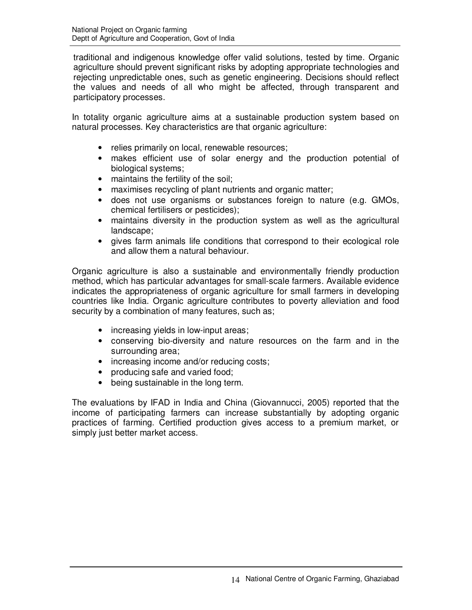traditional and indigenous knowledge offer valid solutions, tested by time. Organic agriculture should prevent significant risks by adopting appropriate technologies and rejecting unpredictable ones, such as genetic engineering. Decisions should reflect the values and needs of all who might be affected, through transparent and participatory processes.

In totality organic agriculture aims at a sustainable production system based on natural processes. Key characteristics are that organic agriculture:

- relies primarily on local, renewable resources;
- makes efficient use of solar energy and the production potential of biological systems;
- maintains the fertility of the soil;
- maximises recycling of plant nutrients and organic matter;
- does not use organisms or substances foreign to nature (e.g. GMOs, chemical fertilisers or pesticides);
- maintains diversity in the production system as well as the agricultural landscape;
- gives farm animals life conditions that correspond to their ecological role and allow them a natural behaviour.

Organic agriculture is also a sustainable and environmentally friendly production method, which has particular advantages for small-scale farmers. Available evidence indicates the appropriateness of organic agriculture for small farmers in developing countries like India. Organic agriculture contributes to poverty alleviation and food security by a combination of many features, such as;

- increasing yields in low-input areas;
- conserving bio-diversity and nature resources on the farm and in the surrounding area;
- increasing income and/or reducing costs;
- producing safe and varied food;
- being sustainable in the long term.

The evaluations by IFAD in India and China (Giovannucci, 2005) reported that the income of participating farmers can increase substantially by adopting organic practices of farming. Certified production gives access to a premium market, or simply just better market access.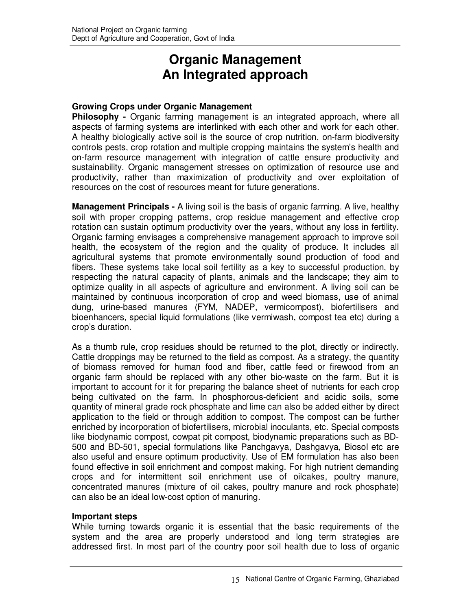# **Organic Management An Integrated approach**

#### **Growing Crops under Organic Management**

**Philosophy -** Organic farming management is an integrated approach, where all aspects of farming systems are interlinked with each other and work for each other. A healthy biologically active soil is the source of crop nutrition, on-farm biodiversity controls pests, crop rotation and multiple cropping maintains the system's health and on-farm resource management with integration of cattle ensure productivity and sustainability. Organic management stresses on optimization of resource use and productivity, rather than maximization of productivity and over exploitation of resources on the cost of resources meant for future generations.

**Management Principals -** A living soil is the basis of organic farming. A live, healthy soil with proper cropping patterns, crop residue management and effective crop rotation can sustain optimum productivity over the years, without any loss in fertility. Organic farming envisages a comprehensive management approach to improve soil health, the ecosystem of the region and the quality of produce. It includes all agricultural systems that promote environmentally sound production of food and fibers. These systems take local soil fertility as a key to successful production, by respecting the natural capacity of plants, animals and the landscape; they aim to optimize quality in all aspects of agriculture and environment. A living soil can be maintained by continuous incorporation of crop and weed biomass, use of animal dung, urine-based manures (FYM, NADEP, vermicompost), biofertilisers and bioenhancers, special liquid formulations (like vermiwash, compost tea etc) during a crop's duration.

As a thumb rule, crop residues should be returned to the plot, directly or indirectly. Cattle droppings may be returned to the field as compost. As a strategy, the quantity of biomass removed for human food and fiber, cattle feed or firewood from an organic farm should be replaced with any other bio-waste on the farm. But it is important to account for it for preparing the balance sheet of nutrients for each crop being cultivated on the farm. In phosphorous-deficient and acidic soils, some quantity of mineral grade rock phosphate and lime can also be added either by direct application to the field or through addition to compost. The compost can be further enriched by incorporation of biofertilisers, microbial inoculants, etc. Special composts like biodynamic compost, cowpat pit compost, biodynamic preparations such as BD-500 and BD-501, special formulations like Panchgavya, Dashgavya, Biosol etc are also useful and ensure optimum productivity. Use of EM formulation has also been found effective in soil enrichment and compost making. For high nutrient demanding crops and for intermittent soil enrichment use of oilcakes, poultry manure, concentrated manures (mixture of oil cakes, poultry manure and rock phosphate) can also be an ideal low-cost option of manuring.

#### **Important steps**

While turning towards organic it is essential that the basic requirements of the system and the area are properly understood and long term strategies are addressed first. In most part of the country poor soil health due to loss of organic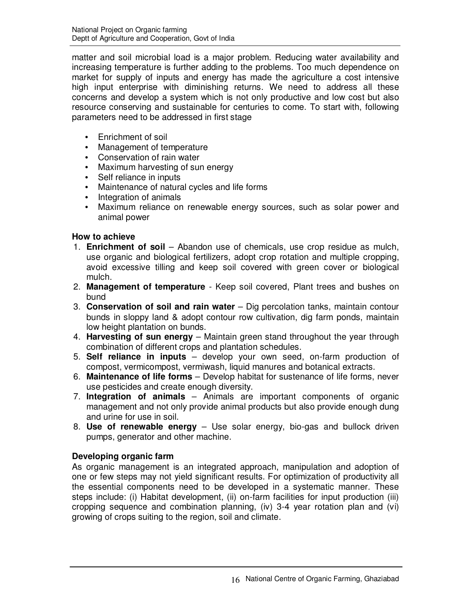matter and soil microbial load is a major problem. Reducing water availability and increasing temperature is further adding to the problems. Too much dependence on market for supply of inputs and energy has made the agriculture a cost intensive high input enterprise with diminishing returns. We need to address all these concerns and develop a system which is not only productive and low cost but also resource conserving and sustainable for centuries to come. To start with, following parameters need to be addressed in first stage

- Enrichment of soil
- Management of temperature
- Conservation of rain water
- Maximum harvesting of sun energy
- Self reliance in inputs
- Maintenance of natural cycles and life forms
- Integration of animals
- Maximum reliance on renewable energy sources, such as solar power and animal power

#### **How to achieve**

- 1. **Enrichment of soil** Abandon use of chemicals, use crop residue as mulch, use organic and biological fertilizers, adopt crop rotation and multiple cropping, avoid excessive tilling and keep soil covered with green cover or biological mulch.
- 2. **Management of temperature**  Keep soil covered, Plant trees and bushes on bund
- 3. **Conservation of soil and rain water** Dig percolation tanks, maintain contour bunds in sloppy land & adopt contour row cultivation, dig farm ponds, maintain low height plantation on bunds.
- 4. **Harvesting of sun energy**  Maintain green stand throughout the year through combination of different crops and plantation schedules.
- 5. **Self reliance in inputs**  develop your own seed, on-farm production of compost, vermicompost, vermiwash, liquid manures and botanical extracts.
- 6. **Maintenance of life forms**  Develop habitat for sustenance of life forms, never use pesticides and create enough diversity.
- 7. **Integration of animals**  Animals are important components of organic management and not only provide animal products but also provide enough dung and urine for use in soil.
- 8. **Use of renewable energy**  Use solar energy, bio-gas and bullock driven pumps, generator and other machine.

# **Developing organic farm**

As organic management is an integrated approach, manipulation and adoption of one or few steps may not yield significant results. For optimization of productivity all the essential components need to be developed in a systematic manner. These steps include: (i) Habitat development, (ii) on-farm facilities for input production (iii) cropping sequence and combination planning, (iv) 3-4 year rotation plan and (vi) growing of crops suiting to the region, soil and climate.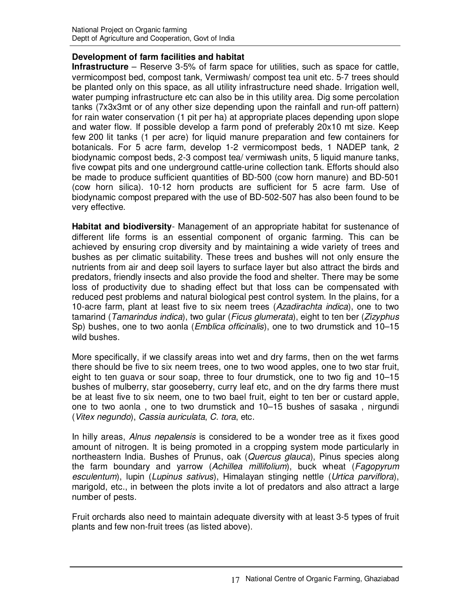#### **Development of farm facilities and habitat**

**Infrastructure** – Reserve 3-5% of farm space for utilities, such as space for cattle, vermicompost bed, compost tank, Vermiwash/ compost tea unit etc. 5-7 trees should be planted only on this space, as all utility infrastructure need shade. Irrigation well, water pumping infrastructure etc can also be in this utility area. Dig some percolation tanks (7x3x3mt or of any other size depending upon the rainfall and run-off pattern) for rain water conservation (1 pit per ha) at appropriate places depending upon slope and water flow. If possible develop a farm pond of preferably 20x10 mt size. Keep few 200 lit tanks (1 per acre) for liquid manure preparation and few containers for botanicals. For 5 acre farm, develop 1-2 vermicompost beds, 1 NADEP tank, 2 biodynamic compost beds, 2-3 compost tea/ vermiwash units, 5 liquid manure tanks, five cowpat pits and one underground cattle-urine collection tank. Efforts should also be made to produce sufficient quantities of BD-500 (cow horn manure) and BD-501 (cow horn silica). 10-12 horn products are sufficient for 5 acre farm. Use of biodynamic compost prepared with the use of BD-502-507 has also been found to be very effective.

**Habitat and biodiversity**- Management of an appropriate habitat for sustenance of different life forms is an essential component of organic farming. This can be achieved by ensuring crop diversity and by maintaining a wide variety of trees and bushes as per climatic suitability. These trees and bushes will not only ensure the nutrients from air and deep soil layers to surface layer but also attract the birds and predators, friendly insects and also provide the food and shelter. There may be some loss of productivity due to shading effect but that loss can be compensated with reduced pest problems and natural biological pest control system. In the plains, for a 10-acre farm, plant at least five to six neem trees (Azadirachta indica), one to two tamarind (Tamarindus indica), two gular (Ficus glumerata), eight to ten ber (Zizyphus Sp) bushes, one to two aonla (*Emblica officinalis*), one to two drumstick and  $10-15$ wild bushes.

More specifically, if we classify areas into wet and dry farms, then on the wet farms there should be five to six neem trees, one to two wood apples, one to two star fruit, eight to ten guava or sour soap, three to four drumstick, one to two fig and 10–15 bushes of mulberry, star gooseberry, curry leaf etc, and on the dry farms there must be at least five to six neem, one to two bael fruit, eight to ten ber or custard apple, one to two aonla , one to two drumstick and 10–15 bushes of sasaka , nirgundi (Vitex negundo), Cassia auriculata, C. tora, etc.

In hilly areas, Alnus nepalensis is considered to be a wonder tree as it fixes good amount of nitrogen. It is being promoted in a cropping system mode particularly in northeastern India. Bushes of Prunus, oak (Quercus glauca), Pinus species along the farm boundary and yarrow (Achillea millifolium), buck wheat (Fagopyrum esculentum), lupin (Lupinus sativus), Himalayan stinging nettle (Urtica parviflora), marigold, etc., in between the plots invite a lot of predators and also attract a large number of pests.

Fruit orchards also need to maintain adequate diversity with at least 3-5 types of fruit plants and few non-fruit trees (as listed above).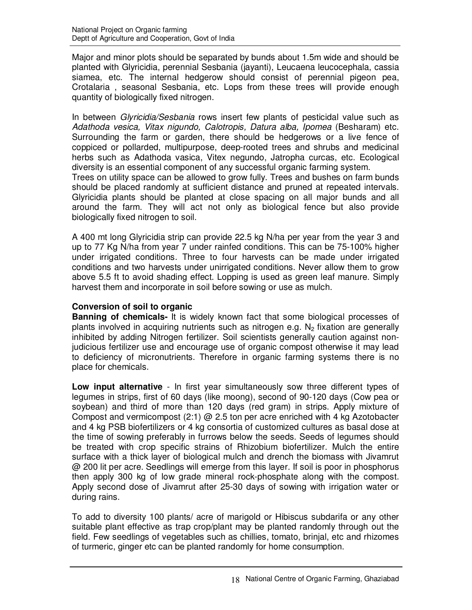Major and minor plots should be separated by bunds about 1.5m wide and should be planted with Glyricidia, perennial Sesbania (jayanti), Leucaena leucocephala, cassia siamea, etc. The internal hedgerow should consist of perennial pigeon pea, Crotalaria , seasonal Sesbania, etc. Lops from these trees will provide enough quantity of biologically fixed nitrogen.

In between *Glyricidia/Sesbania* rows insert few plants of pesticidal value such as Adathoda vesica, Vitax nigundo, Calotropis, Datura alba, Ipomea (Besharam) etc. Surrounding the farm or garden, there should be hedgerows or a live fence of coppiced or pollarded, multipurpose, deep-rooted trees and shrubs and medicinal herbs such as Adathoda vasica, Vitex negundo, Jatropha curcas, etc. Ecological diversity is an essential component of any successful organic farming system.

Trees on utility space can be allowed to grow fully. Trees and bushes on farm bunds should be placed randomly at sufficient distance and pruned at repeated intervals. Glyricidia plants should be planted at close spacing on all major bunds and all around the farm. They will act not only as biological fence but also provide biologically fixed nitrogen to soil.

A 400 mt long Glyricidia strip can provide 22.5 kg N/ha per year from the year 3 and up to 77 Kg N/ha from year 7 under rainfed conditions. This can be 75-100% higher under irrigated conditions. Three to four harvests can be made under irrigated conditions and two harvests under unirrigated conditions. Never allow them to grow above 5.5 ft to avoid shading effect. Lopping is used as green leaf manure. Simply harvest them and incorporate in soil before sowing or use as mulch.

#### **Conversion of soil to organic**

**Banning of chemicals-** It is widely known fact that some biological processes of plants involved in acquiring nutrients such as nitrogen e.g.  $N<sub>2</sub>$  fixation are generally inhibited by adding Nitrogen fertilizer. Soil scientists generally caution against nonjudicious fertilizer use and encourage use of organic compost otherwise it may lead to deficiency of micronutrients. Therefore in organic farming systems there is no place for chemicals.

**Low input alternative** - In first year simultaneously sow three different types of legumes in strips, first of 60 days (like moong), second of 90-120 days (Cow pea or soybean) and third of more than 120 days (red gram) in strips. Apply mixture of Compost and vermicompost (2:1)  $\omega$  2.5 ton per acre enriched with 4 kg Azotobacter and 4 kg PSB biofertilizers or 4 kg consortia of customized cultures as basal dose at the time of sowing preferably in furrows below the seeds. Seeds of legumes should be treated with crop specific strains of Rhizobium biofertilizer. Mulch the entire surface with a thick layer of biological mulch and drench the biomass with Jivamrut @ 200 lit per acre. Seedlings will emerge from this layer. If soil is poor in phosphorus then apply 300 kg of low grade mineral rock-phosphate along with the compost. Apply second dose of Jivamrut after 25-30 days of sowing with irrigation water or during rains.

To add to diversity 100 plants/ acre of marigold or Hibiscus subdarifa or any other suitable plant effective as trap crop/plant may be planted randomly through out the field. Few seedlings of vegetables such as chillies, tomato, brinjal, etc and rhizomes of turmeric, ginger etc can be planted randomly for home consumption.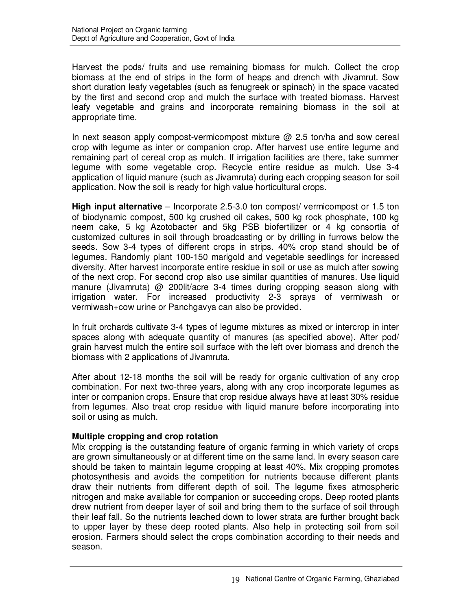Harvest the pods/ fruits and use remaining biomass for mulch. Collect the crop biomass at the end of strips in the form of heaps and drench with Jivamrut. Sow short duration leafy vegetables (such as fenugreek or spinach) in the space vacated by the first and second crop and mulch the surface with treated biomass. Harvest leafy vegetable and grains and incorporate remaining biomass in the soil at appropriate time.

In next season apply compost-vermicompost mixture  $\omega$  2.5 ton/ha and sow cereal crop with legume as inter or companion crop. After harvest use entire legume and remaining part of cereal crop as mulch. If irrigation facilities are there, take summer legume with some vegetable crop. Recycle entire residue as mulch. Use 3-4 application of liquid manure (such as Jivamruta) during each cropping season for soil application. Now the soil is ready for high value horticultural crops.

**High input alternative** – Incorporate 2.5-3.0 ton compost/ vermicompost or 1.5 ton of biodynamic compost, 500 kg crushed oil cakes, 500 kg rock phosphate, 100 kg neem cake, 5 kg Azotobacter and 5kg PSB biofertilizer or 4 kg consortia of customized cultures in soil through broadcasting or by drilling in furrows below the seeds. Sow 3-4 types of different crops in strips. 40% crop stand should be of legumes. Randomly plant 100-150 marigold and vegetable seedlings for increased diversity. After harvest incorporate entire residue in soil or use as mulch after sowing of the next crop. For second crop also use similar quantities of manures. Use liquid manure (Jivamruta) @ 200lit/acre 3-4 times during cropping season along with irrigation water. For increased productivity 2-3 sprays of vermiwash or vermiwash+cow urine or Panchgavya can also be provided.

In fruit orchards cultivate 3-4 types of legume mixtures as mixed or intercrop in inter spaces along with adequate quantity of manures (as specified above). After pod/ grain harvest mulch the entire soil surface with the left over biomass and drench the biomass with 2 applications of Jivamruta.

After about 12-18 months the soil will be ready for organic cultivation of any crop combination. For next two-three years, along with any crop incorporate legumes as inter or companion crops. Ensure that crop residue always have at least 30% residue from legumes. Also treat crop residue with liquid manure before incorporating into soil or using as mulch.

#### **Multiple cropping and crop rotation**

Mix cropping is the outstanding feature of organic farming in which variety of crops are grown simultaneously or at different time on the same land. In every season care should be taken to maintain legume cropping at least 40%. Mix cropping promotes photosynthesis and avoids the competition for nutrients because different plants draw their nutrients from different depth of soil. The legume fixes atmospheric nitrogen and make available for companion or succeeding crops. Deep rooted plants drew nutrient from deeper layer of soil and bring them to the surface of soil through their leaf fall. So the nutrients leached down to lower strata are further brought back to upper layer by these deep rooted plants. Also help in protecting soil from soil erosion. Farmers should select the crops combination according to their needs and season.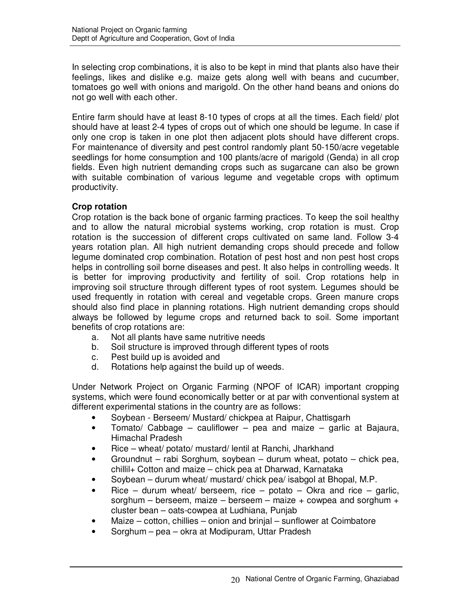In selecting crop combinations, it is also to be kept in mind that plants also have their feelings, likes and dislike e.g. maize gets along well with beans and cucumber, tomatoes go well with onions and marigold. On the other hand beans and onions do not go well with each other.

Entire farm should have at least 8-10 types of crops at all the times. Each field/ plot should have at least 2-4 types of crops out of which one should be legume. In case if only one crop is taken in one plot then adjacent plots should have different crops. For maintenance of diversity and pest control randomly plant 50-150/acre vegetable seedlings for home consumption and 100 plants/acre of marigold (Genda) in all crop fields. Even high nutrient demanding crops such as sugarcane can also be grown with suitable combination of various legume and vegetable crops with optimum productivity.

# **Crop rotation**

Crop rotation is the back bone of organic farming practices. To keep the soil healthy and to allow the natural microbial systems working, crop rotation is must. Crop rotation is the succession of different crops cultivated on same land. Follow 3-4 years rotation plan. All high nutrient demanding crops should precede and follow legume dominated crop combination. Rotation of pest host and non pest host crops helps in controlling soil borne diseases and pest. It also helps in controlling weeds. It is better for improving productivity and fertility of soil. Crop rotations help in improving soil structure through different types of root system. Legumes should be used frequently in rotation with cereal and vegetable crops. Green manure crops should also find place in planning rotations. High nutrient demanding crops should always be followed by legume crops and returned back to soil. Some important benefits of crop rotations are:

- a. Not all plants have same nutritive needs
- b. Soil structure is improved through different types of roots
- c. Pest build up is avoided and
- d. Rotations help against the build up of weeds.

Under Network Project on Organic Farming (NPOF of ICAR) important cropping systems, which were found economically better or at par with conventional system at different experimental stations in the country are as follows:

- Soybean Berseem/ Mustard/ chickpea at Raipur, Chattisgarh
- Tomato/ Cabbage cauliflower pea and maize garlic at Bajaura, Himachal Pradesh
- Rice wheat/ potato/ mustard/ lentil at Ranchi, Jharkhand
- Groundnut rabi Sorghum, soybean durum wheat, potato chick pea, chillil+ Cotton and maize – chick pea at Dharwad, Karnataka
- Soybean durum wheat/ mustard/ chick pea/ isabgol at Bhopal, M.P.
- Rice durum wheat/ berseem, rice potato Okra and rice garlic, sorghum – berseem, maize – berseem – maize  $+$  cowpea and sorghum  $+$ cluster bean – oats-cowpea at Ludhiana, Punjab
- Maize cotton, chillies onion and brinjal sunflower at Coimbatore
- Sorghum pea okra at Modipuram, Uttar Pradesh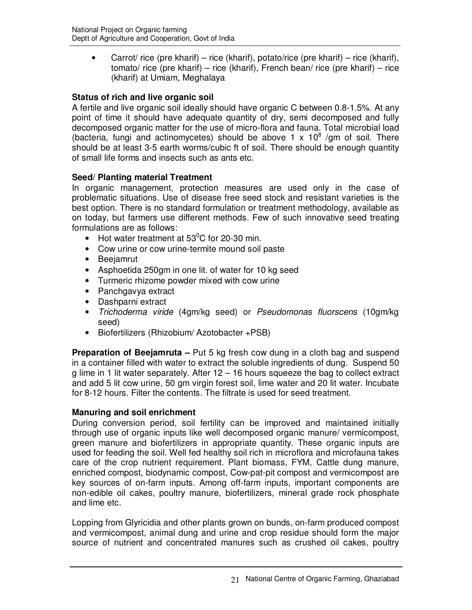• Carrot/ rice (pre kharif) – rice (kharif), potato/rice (pre kharif) – rice (kharif), tomato/ rice (pre kharif) – rice (kharif), French bean/ rice (pre kharif) – rice (kharif) at Umiam, Meghalaya

# **Status of rich and live organic soil**

A fertile and live organic soil ideally should have organic C between 0.8-1.5%. At any point of time it should have adequate quantity of dry, semi decomposed and fully decomposed organic matter for the use of micro-flora and fauna. Total microbial load (bacteria, fungi and actinomycetes) should be above 1 x  $10^8$  /gm of soil. There should be at least 3-5 earth worms/cubic ft of soil. There should be enough quantity of small life forms and insects such as ants etc.

#### **Seed/ Planting material Treatment**

In organic management, protection measures are used only in the case of problematic situations. Use of disease free seed stock and resistant varieties is the best option. There is no standard formulation or treatment methodology, available as on today, but farmers use different methods. Few of such innovative seed treating formulations are as follows:

- Hot water treatment at  $53^{\circ}$ C for 20-30 min.
- Cow urine or cow urine-termite mound soil paste
- Beejamrut
- Asphoetida 250gm in one lit. of water for 10 kg seed
- Turmeric rhizome powder mixed with cow urine
- Panchgavya extract
- Dashparni extract
- Trichoderma viride (4gm/kg seed) or Pseudomonas fluorscens (10gm/kg seed)
- Biofertilizers (Rhizobium/ Azotobacter +PSB)

**Preparation of Beejamruta** – Put 5 kg fresh cow dung in a cloth bag and suspend in a container filled with water to extract the soluble ingredients of dung. Suspend 50 g lime in 1 lit water separately. After  $12 - 16$  hours squeeze the bag to collect extract and add 5 lit cow urine, 50 gm virgin forest soil, lime water and 20 lit water. Incubate for 8-12 hours. Filter the contents. The filtrate is used for seed treatment.

#### **Manuring and soil enrichment**

During conversion period, soil fertility can be improved and maintained initially through use of organic inputs like well decomposed organic manure/ vermicompost, green manure and biofertilizers in appropriate quantity. These organic inputs are used for feeding the soil. Well fed healthy soil rich in microflora and microfauna takes care of the crop nutrient requirement. Plant biomass, FYM, Cattle dung manure, enriched compost, biodynamic compost, Cow-pat-pit compost and vermicompost are key sources of on-farm inputs. Among off-farm inputs, important components are non-edible oil cakes, poultry manure, biofertilizers, mineral grade rock phosphate and lime etc.

Lopping from Glyricidia and other plants grown on bunds, on-farm produced compost and vermicompost, animal dung and urine and crop residue should form the major source of nutrient and concentrated manures such as crushed oil cakes, poultry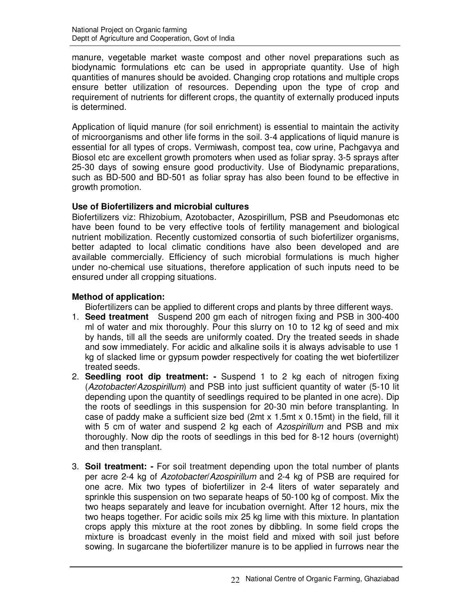manure, vegetable market waste compost and other novel preparations such as biodynamic formulations etc can be used in appropriate quantity. Use of high quantities of manures should be avoided. Changing crop rotations and multiple crops ensure better utilization of resources. Depending upon the type of crop and requirement of nutrients for different crops, the quantity of externally produced inputs is determined.

Application of liquid manure (for soil enrichment) is essential to maintain the activity of microorganisms and other life forms in the soil. 3-4 applications of liquid manure is essential for all types of crops. Vermiwash, compost tea, cow urine, Pachgavya and Biosol etc are excellent growth promoters when used as foliar spray. 3-5 sprays after 25-30 days of sowing ensure good productivity. Use of Biodynamic preparations, such as BD-500 and BD-501 as foliar spray has also been found to be effective in growth promotion.

#### **Use of Biofertilizers and microbial cultures**

Biofertilizers viz: Rhizobium, Azotobacter, Azospirillum, PSB and Pseudomonas etc have been found to be very effective tools of fertility management and biological nutrient mobilization. Recently customized consortia of such biofertilizer organisms, better adapted to local climatic conditions have also been developed and are available commercially. Efficiency of such microbial formulations is much higher under no-chemical use situations, therefore application of such inputs need to be ensured under all cropping situations.

# **Method of application:**

Biofertilizers can be applied to different crops and plants by three different ways.

- 1. **Seed treatment** Suspend 200 gm each of nitrogen fixing and PSB in 300-400 ml of water and mix thoroughly. Pour this slurry on 10 to 12 kg of seed and mix by hands, till all the seeds are uniformly coated. Dry the treated seeds in shade and sow immediately. For acidic and alkaline soils it is always advisable to use 1 kg of slacked lime or gypsum powder respectively for coating the wet biofertilizer treated seeds.
- 2. **Seedling root dip treatment: -** Suspend 1 to 2 kg each of nitrogen fixing (Azotobacter/Azospirillum) and PSB into just sufficient quantity of water (5-10 lit depending upon the quantity of seedlings required to be planted in one acre). Dip the roots of seedlings in this suspension for 20-30 min before transplanting. In case of paddy make a sufficient size bed  $(2mt \times 1.5mt \times 0.15mt)$  in the field, fill it with 5 cm of water and suspend 2 kg each of Azospirillum and PSB and mix thoroughly. Now dip the roots of seedlings in this bed for 8-12 hours (overnight) and then transplant.
- 3. **Soil treatment: -** For soil treatment depending upon the total number of plants per acre 2-4 kg of Azotobacter/Azospirillum and 2-4 kg of PSB are required for one acre. Mix two types of biofertilizer in 2-4 liters of water separately and sprinkle this suspension on two separate heaps of 50-100 kg of compost. Mix the two heaps separately and leave for incubation overnight. After 12 hours, mix the two heaps together. For acidic soils mix 25 kg lime with this mixture. In plantation crops apply this mixture at the root zones by dibbling. In some field crops the mixture is broadcast evenly in the moist field and mixed with soil just before sowing. In sugarcane the biofertilizer manure is to be applied in furrows near the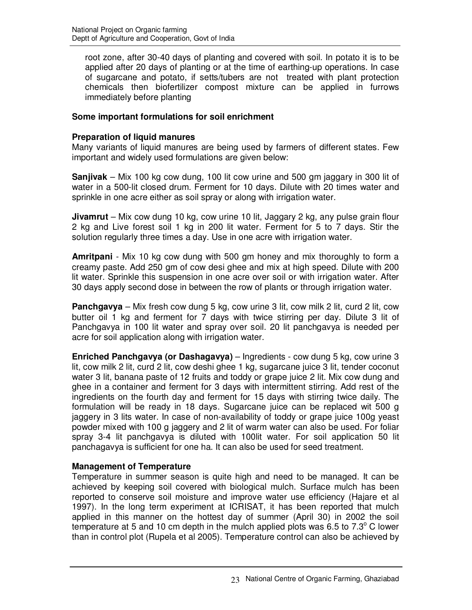root zone, after 30-40 days of planting and covered with soil. In potato it is to be applied after 20 days of planting or at the time of earthing-up operations. In case of sugarcane and potato, if setts/tubers are not treated with plant protection chemicals then biofertilizer compost mixture can be applied in furrows immediately before planting

#### **Some important formulations for soil enrichment**

#### **Preparation of liquid manures**

Many variants of liquid manures are being used by farmers of different states. Few important and widely used formulations are given below:

**Sanjivak** – Mix 100 kg cow dung, 100 lit cow urine and 500 gm jaggary in 300 lit of water in a 500-lit closed drum. Ferment for 10 days. Dilute with 20 times water and sprinkle in one acre either as soil spray or along with irrigation water.

**Jivamrut** – Mix cow dung 10 kg, cow urine 10 lit, Jaggary 2 kg, any pulse grain flour 2 kg and Live forest soil 1 kg in 200 lit water. Ferment for 5 to 7 days. Stir the solution regularly three times a day. Use in one acre with irrigation water.

**Amritpani** - Mix 10 kg cow dung with 500 gm honey and mix thoroughly to form a creamy paste. Add 250 gm of cow desi ghee and mix at high speed. Dilute with 200 lit water. Sprinkle this suspension in one acre over soil or with irrigation water. After 30 days apply second dose in between the row of plants or through irrigation water.

**Panchgavya** – Mix fresh cow dung 5 kg, cow urine 3 lit, cow milk 2 lit, curd 2 lit, cow butter oil 1 kg and ferment for 7 days with twice stirring per day. Dilute 3 lit of Panchgavya in 100 lit water and spray over soil. 20 lit panchgavya is needed per acre for soil application along with irrigation water.

**Enriched Panchgavya (or Dashagavya)** – Ingredients - cow dung 5 kg, cow urine 3 lit, cow milk 2 lit, curd 2 lit, cow deshi ghee 1 kg, sugarcane juice 3 lit, tender coconut water 3 lit, banana paste of 12 fruits and toddy or grape juice 2 lit. Mix cow dung and ghee in a container and ferment for 3 days with intermittent stirring. Add rest of the ingredients on the fourth day and ferment for 15 days with stirring twice daily. The formulation will be ready in 18 days. Sugarcane juice can be replaced wit 500 g jaggery in 3 lits water. In case of non-availability of toddy or grape juice 100g yeast powder mixed with 100 g jaggery and 2 lit of warm water can also be used. For foliar spray 3-4 lit panchgavya is diluted with 100lit water. For soil application 50 lit panchagavya is sufficient for one ha. It can also be used for seed treatment.

# **Management of Temperature**

Temperature in summer season is quite high and need to be managed. It can be achieved by keeping soil covered with biological mulch. Surface mulch has been reported to conserve soil moisture and improve water use efficiency (Hajare et al 1997). In the long term experiment at ICRISAT, it has been reported that mulch applied in this manner on the hottest day of summer (April 30) in 2002 the soil temperature at 5 and 10 cm depth in the mulch applied plots was 6.5 to 7.3 $^{\circ}$  C lower than in control plot (Rupela et al 2005). Temperature control can also be achieved by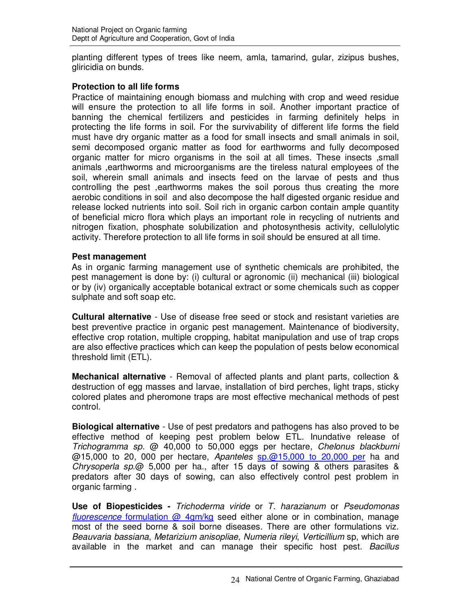planting different types of trees like neem, amla, tamarind, gular, zizipus bushes, gliricidia on bunds.

#### **Protection to all life forms**

Practice of maintaining enough biomass and mulching with crop and weed residue will ensure the protection to all life forms in soil. Another important practice of banning the chemical fertilizers and pesticides in farming definitely helps in protecting the life forms in soil. For the survivability of different life forms the field must have dry organic matter as a food for small insects and small animals in soil, semi decomposed organic matter as food for earthworms and fully decomposed organic matter for micro organisms in the soil at all times. These insects ,small animals ,earthworms and microorganisms are the tireless natural employees of the soil, wherein small animals and insects feed on the larvae of pests and thus controlling the pest ,earthworms makes the soil porous thus creating the more aerobic conditions in soil and also decompose the half digested organic residue and release locked nutrients into soil. Soil rich in organic carbon contain ample quantity of beneficial micro flora which plays an important role in recycling of nutrients and nitrogen fixation, phosphate solubilization and photosynthesis activity, cellulolytic activity. Therefore protection to all life forms in soil should be ensured at all time.

#### **Pest management**

As in organic farming management use of synthetic chemicals are prohibited, the pest management is done by: (i) cultural or agronomic (ii) mechanical (iii) biological or by (iv) organically acceptable botanical extract or some chemicals such as copper sulphate and soft soap etc.

**Cultural alternative** - Use of disease free seed or stock and resistant varieties are best preventive practice in organic pest management. Maintenance of biodiversity, effective crop rotation, multiple cropping, habitat manipulation and use of trap crops are also effective practices which can keep the population of pests below economical threshold limit (ETL).

**Mechanical alternative** - Removal of affected plants and plant parts, collection & destruction of egg masses and larvae, installation of bird perches, light traps, sticky colored plates and pheromone traps are most effective mechanical methods of pest control.

**Biological alternative** - Use of pest predators and pathogens has also proved to be effective method of keeping pest problem below ETL. Inundative release of Trichogramma sp. @ 40,000 to 50,000 eggs per hectare, Chelonus blackburni  $@15,000$  to 20, 000 per hectare, Apanteles sp. $@15,000$  to 20,000 per ha and Chrysoperla sp.@ 5,000 per ha., after 15 days of sowing & others parasites & predators after 30 days of sowing, can also effectively control pest problem in organic farming .

**Use of Biopesticides -** Trichoderma viride or T. harazianum or Pseudomonas fluorescence formulation @ 4gm/kg seed either alone or in combination, manage most of the seed borne & soil borne diseases. There are other formulations viz. Beauvaria bassiana, Metarizium anisopliae, Numeria rileyi, Verticillium sp, which are available in the market and can manage their specific host pest. Bacillus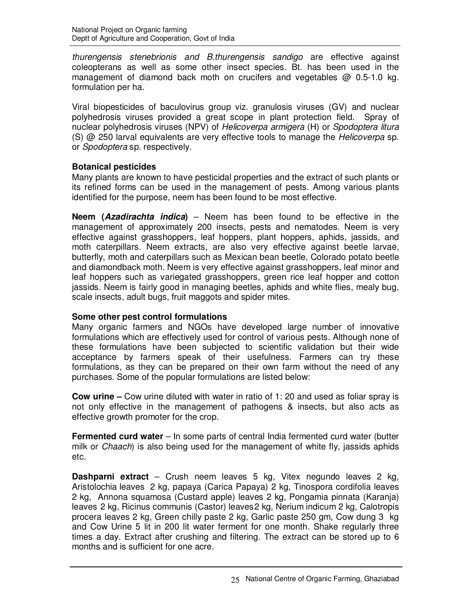thurengensis stenebrionis and B.thurengensis sandigo are effective against coleopterans as well as some other insect species. Bt. has been used in the management of diamond back moth on crucifers and vegetables @ 0.5-1.0 kg. formulation per ha.

Viral biopesticides of baculovirus group viz. granulosis viruses (GV) and nuclear polyhedrosis viruses provided a great scope in plant protection field. Spray of nuclear polyhedrosis viruses (NPV) of Helicoverpa armigera (H) or Spodoptera litura (S) @ 250 larval equivalents are very effective tools to manage the Helicoverpa sp. or Spodoptera sp. respectively.

# **Botanical pesticides**

Many plants are known to have pesticidal properties and the extract of such plants or its refined forms can be used in the management of pests. Among various plants identified for the purpose, neem has been found to be most effective.

**Neem (Azadirachta indica)** – Neem has been found to be effective in the management of approximately 200 insects, pests and nematodes. Neem is very effective against grasshoppers, leaf hoppers, plant hoppers, aphids, jassids, and moth caterpillars. Neem extracts, are also very effective against beetle larvae, butterfly, moth and caterpillars such as Mexican bean beetle, Colorado potato beetle and diamondback moth. Neem is very effective against grasshoppers, leaf minor and leaf hoppers such as variegated grasshoppers, green rice leaf hopper and cotton jassids. Neem is fairly good in managing beetles, aphids and white flies, mealy bug, scale insects, adult bugs, fruit maggots and spider mites.

#### **Some other pest control formulations**

Many organic farmers and NGOs have developed large number of innovative formulations which are effectively used for control of various pests. Although none of these formulations have been subjected to scientific validation but their wide acceptance by farmers speak of their usefulness. Farmers can try these formulations, as they can be prepared on their own farm without the need of any purchases. Some of the popular formulations are listed below:

**Cow urine –** Cow urine diluted with water in ratio of 1: 20 and used as foliar spray is not only effective in the management of pathogens & insects, but also acts as effective growth promoter for the crop.

**Fermented curd water** – In some parts of central India fermented curd water (butter milk or *Chaach*) is also being used for the management of white fly, jassids aphids etc.

**Dashparni extract** – Crush neem leaves 5 kg, Vitex negundo leaves 2 kg, Aristolochia leaves 2 kg, papaya (Carica Papaya) 2 kg, Tinospora cordifolia leaves 2 kg, Annona squamosa (Custard apple) leaves 2 kg, Pongamia pinnata (Karanja) leaves 2 kg, Ricinus communis (Castor) leaves 2 kg, Nerium indicum 2 kg, Calotropis procera leaves 2 kg, Green chilly paste 2 kg, Garlic paste 250 gm, Cow dung 3 kg and Cow Urine 5 lit in 200 lit water ferment for one month. Shake regularly three times a day. Extract after crushing and filtering. The extract can be stored up to 6 months and is sufficient for one acre.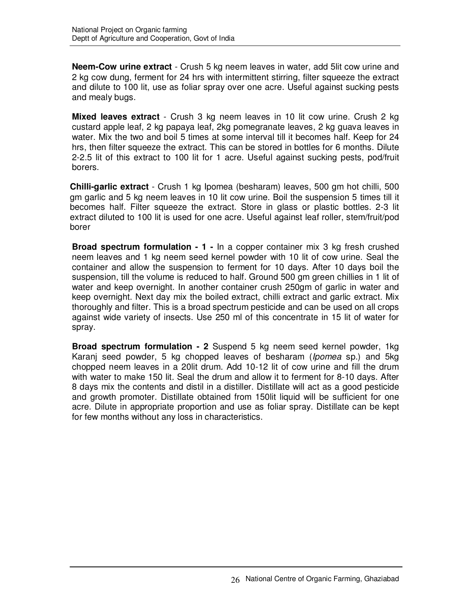**Neem-Cow urine extract** - Crush 5 kg neem leaves in water, add 5lit cow urine and 2 kg cow dung, ferment for 24 hrs with intermittent stirring, filter squeeze the extract and dilute to 100 lit, use as foliar spray over one acre. Useful against sucking pests and mealy bugs.

**Mixed leaves extract** - Crush 3 kg neem leaves in 10 lit cow urine. Crush 2 kg custard apple leaf, 2 kg papaya leaf, 2kg pomegranate leaves, 2 kg guava leaves in water. Mix the two and boil 5 times at some interval till it becomes half. Keep for 24 hrs, then filter squeeze the extract. This can be stored in bottles for 6 months. Dilute 2-2.5 lit of this extract to 100 lit for 1 acre. Useful against sucking pests, pod/fruit borers.

**Chilli-garlic extract** - Crush 1 kg Ipomea (besharam) leaves, 500 gm hot chilli, 500 gm garlic and 5 kg neem leaves in 10 lit cow urine. Boil the suspension 5 times till it becomes half. Filter squeeze the extract. Store in glass or plastic bottles. 2-3 lit extract diluted to 100 lit is used for one acre. Useful against leaf roller, stem/fruit/pod borer

**Broad spectrum formulation - 1 -** In a copper container mix 3 kg fresh crushed neem leaves and 1 kg neem seed kernel powder with 10 lit of cow urine. Seal the container and allow the suspension to ferment for 10 days. After 10 days boil the suspension, till the volume is reduced to half. Ground 500 gm green chillies in 1 lit of water and keep overnight. In another container crush 250gm of garlic in water and keep overnight. Next day mix the boiled extract, chilli extract and garlic extract. Mix thoroughly and filter. This is a broad spectrum pesticide and can be used on all crops against wide variety of insects. Use 250 ml of this concentrate in 15 lit of water for spray.

**Broad spectrum formulation - 2** Suspend 5 kg neem seed kernel powder, 1kg Karanj seed powder, 5 kg chopped leaves of besharam (*Ipomea* sp.) and 5kg chopped neem leaves in a 20lit drum. Add 10-12 lit of cow urine and fill the drum with water to make 150 lit. Seal the drum and allow it to ferment for 8-10 days. After 8 days mix the contents and distil in a distiller. Distillate will act as a good pesticide and growth promoter. Distillate obtained from 150lit liquid will be sufficient for one acre. Dilute in appropriate proportion and use as foliar spray. Distillate can be kept for few months without any loss in characteristics.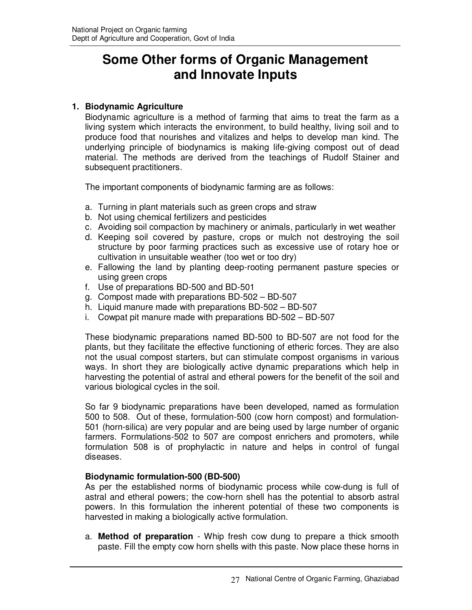# **Some Other forms of Organic Management and Innovate Inputs**

# **1. Biodynamic Agriculture**

Biodynamic agriculture is a method of farming that aims to treat the farm as a living system which interacts the environment, to build healthy, living soil and to produce food that nourishes and vitalizes and helps to develop man kind. The underlying principle of biodynamics is making life-giving compost out of dead material. The methods are derived from the teachings of Rudolf Stainer and subsequent practitioners.

The important components of biodynamic farming are as follows:

- a. Turning in plant materials such as green crops and straw
- b. Not using chemical fertilizers and pesticides
- c. Avoiding soil compaction by machinery or animals, particularly in wet weather
- d. Keeping soil covered by pasture, crops or mulch not destroying the soil structure by poor farming practices such as excessive use of rotary hoe or cultivation in unsuitable weather (too wet or too dry)
- e. Fallowing the land by planting deep-rooting permanent pasture species or using green crops
- f. Use of preparations BD-500 and BD-501
- g. Compost made with preparations BD-502 BD-507
- h. Liquid manure made with preparations BD-502 BD-507
- i. Cowpat pit manure made with preparations BD-502 BD-507

These biodynamic preparations named BD-500 to BD-507 are not food for the plants, but they facilitate the effective functioning of etheric forces. They are also not the usual compost starters, but can stimulate compost organisms in various ways. In short they are biologically active dynamic preparations which help in harvesting the potential of astral and etheral powers for the benefit of the soil and various biological cycles in the soil.

So far 9 biodynamic preparations have been developed, named as formulation 500 to 508. Out of these, formulation-500 (cow horn compost) and formulation-501 (horn-silica) are very popular and are being used by large number of organic farmers. Formulations-502 to 507 are compost enrichers and promoters, while formulation 508 is of prophylactic in nature and helps in control of fungal diseases.

# **Biodynamic formulation-500 (BD-500)**

As per the established norms of biodynamic process while cow-dung is full of astral and etheral powers; the cow-horn shell has the potential to absorb astral powers. In this formulation the inherent potential of these two components is harvested in making a biologically active formulation.

a. **Method of preparation** - Whip fresh cow dung to prepare a thick smooth paste. Fill the empty cow horn shells with this paste. Now place these horns in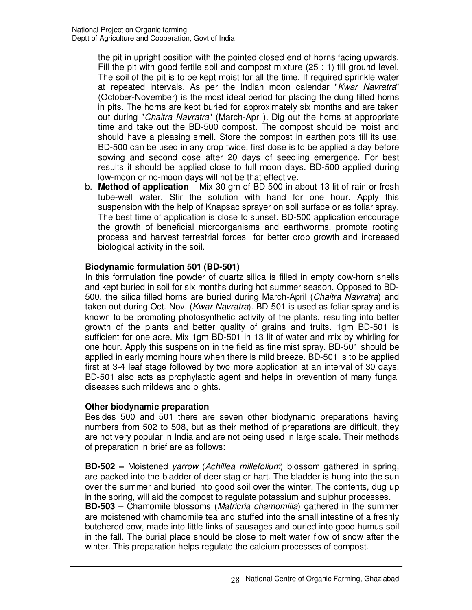the pit in upright position with the pointed closed end of horns facing upwards. Fill the pit with good fertile soil and compost mixture (25 : 1) till ground level. The soil of the pit is to be kept moist for all the time. If required sprinkle water at repeated intervals. As per the Indian moon calendar "Kwar Navratra" (October-November) is the most ideal period for placing the dung filled horns in pits. The horns are kept buried for approximately six months and are taken out during "Chaitra Navratra" (March-April). Dig out the horns at appropriate time and take out the BD-500 compost. The compost should be moist and should have a pleasing smell. Store the compost in earthen pots till its use. BD-500 can be used in any crop twice, first dose is to be applied a day before sowing and second dose after 20 days of seedling emergence. For best results it should be applied close to full moon days. BD-500 applied during low-moon or no-moon days will not be that effective.

b. **Method of application** – Mix 30 gm of BD-500 in about 13 lit of rain or fresh tube-well water. Stir the solution with hand for one hour. Apply this suspension with the help of Knapsac sprayer on soil surface or as foliar spray. The best time of application is close to sunset. BD-500 application encourage the growth of beneficial microorganisms and earthworms, promote rooting process and harvest terrestrial forces for better crop growth and increased biological activity in the soil.

# **Biodynamic formulation 501 (BD-501)**

In this formulation fine powder of quartz silica is filled in empty cow-horn shells and kept buried in soil for six months during hot summer season. Opposed to BD-500, the silica filled horns are buried during March-April (Chaitra Navratra) and taken out during Oct.-Nov. (Kwar Navratra). BD-501 is used as foliar spray and is known to be promoting photosynthetic activity of the plants, resulting into better growth of the plants and better quality of grains and fruits. 1gm BD-501 is sufficient for one acre. Mix 1gm BD-501 in 13 lit of water and mix by whirling for one hour. Apply this suspension in the field as fine mist spray. BD-501 should be applied in early morning hours when there is mild breeze. BD-501 is to be applied first at 3-4 leaf stage followed by two more application at an interval of 30 days. BD-501 also acts as prophylactic agent and helps in prevention of many fungal diseases such mildews and blights.

#### **Other biodynamic preparation**

Besides 500 and 501 there are seven other biodynamic preparations having numbers from 502 to 508, but as their method of preparations are difficult, they are not very popular in India and are not being used in large scale. Their methods of preparation in brief are as follows:

**BD-502 –** Moistened yarrow (Achillea millefolium) blossom gathered in spring, are packed into the bladder of deer stag or hart. The bladder is hung into the sun over the summer and buried into good soil over the winter. The contents, dug up in the spring, will aid the compost to regulate potassium and sulphur processes.

**BD-503** – Chamomile blossoms (Matricria chamomilla) gathered in the summer are moistened with chamomile tea and stuffed into the small intestine of a freshly butchered cow, made into little links of sausages and buried into good humus soil in the fall. The burial place should be close to melt water flow of snow after the winter. This preparation helps regulate the calcium processes of compost.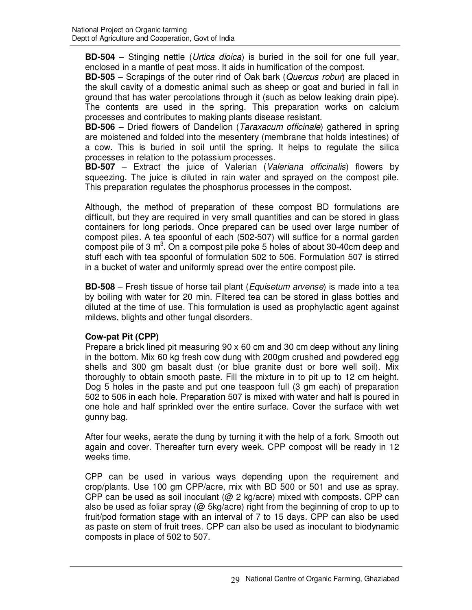**BD-504** – Stinging nettle (Urtica dioica) is buried in the soil for one full year, enclosed in a mantle of peat moss. It aids in humification of the compost.

**BD-505** – Scrapings of the outer rind of Oak bark (Quercus robur) are placed in the skull cavity of a domestic animal such as sheep or goat and buried in fall in ground that has water percolations through it (such as below leaking drain pipe). The contents are used in the spring. This preparation works on calcium processes and contributes to making plants disease resistant.

**BD-506** – Dried flowers of Dandelion (Taraxacum officinale) gathered in spring are moistened and folded into the mesentery (membrane that holds intestines) of a cow. This is buried in soil until the spring. It helps to regulate the silica processes in relation to the potassium processes.

**BD-507** – Extract the juice of Valerian (Valeriana officinalis) flowers by squeezing. The juice is diluted in rain water and sprayed on the compost pile. This preparation regulates the phosphorus processes in the compost.

Although, the method of preparation of these compost BD formulations are difficult, but they are required in very small quantities and can be stored in glass containers for long periods. Once prepared can be used over large number of compost piles. A tea spoonful of each (502-507) will suffice for a normal garden compost pile of 3  $m^3$ . On a compost pile poke 5 holes of about 30-40cm deep and stuff each with tea spoonful of formulation 502 to 506. Formulation 507 is stirred in a bucket of water and uniformly spread over the entire compost pile.

**BD-508** – Fresh tissue of horse tail plant (Equisetum arvense) is made into a tea by boiling with water for 20 min. Filtered tea can be stored in glass bottles and diluted at the time of use. This formulation is used as prophylactic agent against mildews, blights and other fungal disorders.

# **Cow-pat Pit (CPP)**

Prepare a brick lined pit measuring 90 x 60 cm and 30 cm deep without any lining in the bottom. Mix 60 kg fresh cow dung with 200gm crushed and powdered egg shells and 300 gm basalt dust (or blue granite dust or bore well soil). Mix thoroughly to obtain smooth paste. Fill the mixture in to pit up to 12 cm height. Dog 5 holes in the paste and put one teaspoon full (3 gm each) of preparation 502 to 506 in each hole. Preparation 507 is mixed with water and half is poured in one hole and half sprinkled over the entire surface. Cover the surface with wet gunny bag.

After four weeks, aerate the dung by turning it with the help of a fork. Smooth out again and cover. Thereafter turn every week. CPP compost will be ready in 12 weeks time.

CPP can be used in various ways depending upon the requirement and crop/plants. Use 100 gm CPP/acre, mix with BD 500 or 501 and use as spray. CPP can be used as soil inoculant ( $\omega$  2 kg/acre) mixed with composts. CPP can also be used as foliar spray ( $@$  5kg/acre) right from the beginning of crop to up to fruit/pod formation stage with an interval of 7 to 15 days. CPP can also be used as paste on stem of fruit trees. CPP can also be used as inoculant to biodynamic composts in place of 502 to 507.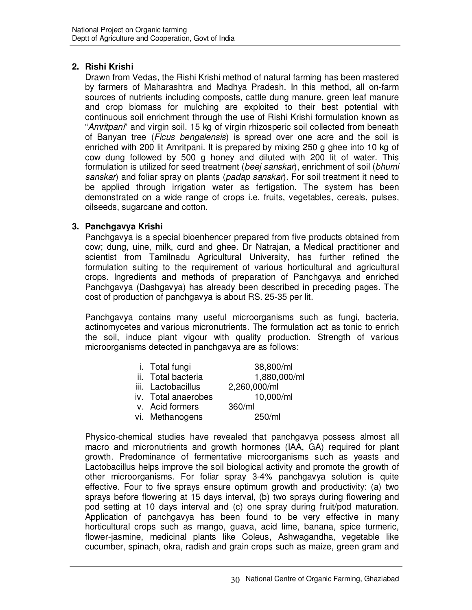# **2. Rishi Krishi**

Drawn from Vedas, the Rishi Krishi method of natural farming has been mastered by farmers of Maharashtra and Madhya Pradesh. In this method, all on-farm sources of nutrients including composts, cattle dung manure, green leaf manure and crop biomass for mulching are exploited to their best potential with continuous soil enrichment through the use of Rishi Krishi formulation known as "Amritpani" and virgin soil. 15 kg of virgin rhizosperic soil collected from beneath of Banyan tree (Ficus bengalensis) is spread over one acre and the soil is enriched with 200 lit Amritpani. It is prepared by mixing 250 g ghee into 10 kg of cow dung followed by 500 g honey and diluted with 200 lit of water. This formulation is utilized for seed treatment (beej sanskar), enrichment of soil (bhumi sanskar) and foliar spray on plants (*padap sanskar*). For soil treatment it need to be applied through irrigation water as fertigation. The system has been demonstrated on a wide range of crops i.e. fruits, vegetables, cereals, pulses, oilseeds, sugarcane and cotton.

#### **3. Panchgavya Krishi**

Panchgavya is a special bioenhencer prepared from five products obtained from cow; dung, uine, milk, curd and ghee. Dr Natrajan, a Medical practitioner and scientist from Tamilnadu Agricultural University, has further refined the formulation suiting to the requirement of various horticultural and agricultural crops. Ingredients and methods of preparation of Panchgavya and enriched Panchgavya (Dashgavya) has already been described in preceding pages. The cost of production of panchgavya is about RS. 25-35 per lit.

Panchgavya contains many useful microorganisms such as fungi, bacteria, actinomycetes and various micronutrients. The formulation act as tonic to enrich the soil, induce plant vigour with quality production. Strength of various microorganisms detected in panchgavya are as follows:

| i. Total fungi      | 38,800/ml    |
|---------------------|--------------|
| ii. Total bacteria  | 1,880,000/ml |
| iii. Lactobacillus  | 2,260,000/ml |
| iv. Total anaerobes | 10,000/ml    |
| v. Acid formers     | 360/ml       |
| vi. Methanogens     | 250/ml       |

Physico-chemical studies have revealed that panchgavya possess almost all macro and micronutrients and growth hormones (IAA, GA) required for plant growth. Predominance of fermentative microorganisms such as yeasts and Lactobacillus helps improve the soil biological activity and promote the growth of other microorganisms. For foliar spray 3-4% panchgavya solution is quite effective. Four to five sprays ensure optimum growth and productivity: (a) two sprays before flowering at 15 days interval, (b) two sprays during flowering and pod setting at 10 days interval and (c) one spray during fruit/pod maturation. Application of panchgavya has been found to be very effective in many horticultural crops such as mango, guava, acid lime, banana, spice turmeric, flower-jasmine, medicinal plants like Coleus, Ashwagandha, vegetable like cucumber, spinach, okra, radish and grain crops such as maize, green gram and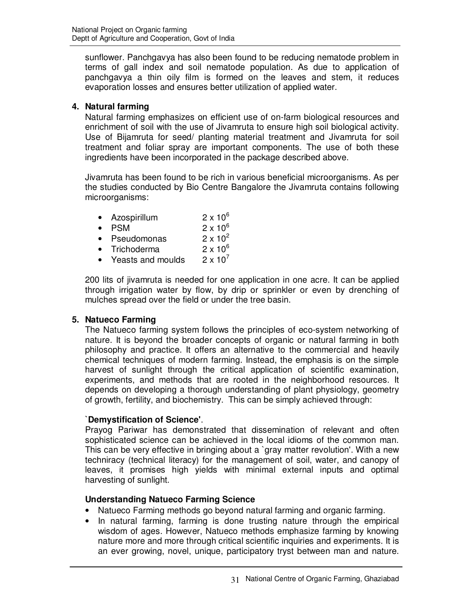sunflower. Panchgavya has also been found to be reducing nematode problem in terms of gall index and soil nematode population. As due to application of panchgavya a thin oily film is formed on the leaves and stem, it reduces evaporation losses and ensures better utilization of applied water.

# **4. Natural farming**

Natural farming emphasizes on efficient use of on-farm biological resources and enrichment of soil with the use of Jivamruta to ensure high soil biological activity. Use of Bijamruta for seed/ planting material treatment and Jivamruta for soil treatment and foliar spray are important components. The use of both these ingredients have been incorporated in the package described above.

Jivamruta has been found to be rich in various beneficial microorganisms. As per the studies conducted by Bio Centre Bangalore the Jivamruta contains following microorganisms:

| $2 \times 10^6$<br>Azospirillum |  |
|---------------------------------|--|
|                                 |  |

- PSM  $2 \times 10^6$
- Pseudomonas  $2 \times 10^2$
- Trichoderma  $2 \times 10^6$
- Yeasts and moulds  $2 \times 10^7$

200 lits of jivamruta is needed for one application in one acre. It can be applied through irrigation water by flow, by drip or sprinkler or even by drenching of mulches spread over the field or under the tree basin.

# **5. Natueco Farming**

The Natueco farming system follows the principles of eco-system networking of nature. It is beyond the broader concepts of organic or natural farming in both philosophy and practice. It offers an alternative to the commercial and heavily chemical techniques of modern farming. Instead, the emphasis is on the simple harvest of sunlight through the critical application of scientific examination, experiments, and methods that are rooted in the neighborhood resources. It depends on developing a thorough understanding of plant physiology, geometry of growth, fertility, and biochemistry. This can be simply achieved through:

# **`Demystification of Science'**.

Prayog Pariwar has demonstrated that dissemination of relevant and often sophisticated science can be achieved in the local idioms of the common man. This can be very effective in bringing about a `gray matter revolution'. With a new techniracy (technical literacy) for the management of soil, water, and canopy of leaves, it promises high yields with minimal external inputs and optimal harvesting of sunlight.

# **Understanding Natueco Farming Science**

- Natueco Farming methods go beyond natural farming and organic farming.
- In natural farming, farming is done trusting nature through the empirical wisdom of ages. However, Natueco methods emphasize farming by knowing nature more and more through critical scientific inquiries and experiments. It is an ever growing, novel, unique, participatory tryst between man and nature.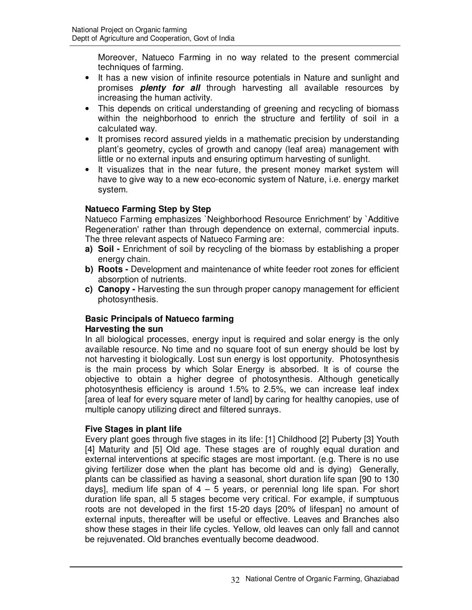Moreover, Natueco Farming in no way related to the present commercial techniques of farming.

- It has a new vision of infinite resource potentials in Nature and sunlight and promises **plenty for all** through harvesting all available resources by increasing the human activity.
- This depends on critical understanding of greening and recycling of biomass within the neighborhood to enrich the structure and fertility of soil in a calculated way.
- It promises record assured yields in a mathematic precision by understanding plant's geometry, cycles of growth and canopy (leaf area) management with little or no external inputs and ensuring optimum harvesting of sunlight.
- It visualizes that in the near future, the present money market system will have to give way to a new eco-economic system of Nature, i.e. energy market system.

# **Natueco Farming Step by Step**

Natueco Farming emphasizes `Neighborhood Resource Enrichment' by `Additive Regeneration' rather than through dependence on external, commercial inputs. The three relevant aspects of Natueco Farming are:

- **a) Soil** Enrichment of soil by recycling of the biomass by establishing a proper energy chain.
- **b) Roots** Development and maintenance of white feeder root zones for efficient absorption of nutrients.
- **c) Canopy -** Harvesting the sun through proper canopy management for efficient photosynthesis.

# **Basic Principals of Natueco farming**

# **Harvesting the sun**

In all biological processes, energy input is required and solar energy is the only available resource. No time and no square foot of sun energy should be lost by not harvesting it biologically. Lost sun energy is lost opportunity. Photosynthesis is the main process by which Solar Energy is absorbed. It is of course the objective to obtain a higher degree of photosynthesis. Although genetically photosynthesis efficiency is around 1.5% to 2.5%, we can increase leaf index [area of leaf for every square meter of land] by caring for healthy canopies, use of multiple canopy utilizing direct and filtered sunrays.

# **Five Stages in plant life**

Every plant goes through five stages in its life: [1] Childhood [2] Puberty [3] Youth [4] Maturity and [5] Old age. These stages are of roughly equal duration and external interventions at specific stages are most important. (e.g. There is no use giving fertilizer dose when the plant has become old and is dying) Generally, plants can be classified as having a seasonal, short duration life span [90 to 130 days], medium life span of  $4 - 5$  years, or perennial long life span. For short duration life span, all 5 stages become very critical. For example, if sumptuous roots are not developed in the first 15-20 days [20% of lifespan] no amount of external inputs, thereafter will be useful or effective. Leaves and Branches also show these stages in their life cycles. Yellow, old leaves can only fall and cannot be rejuvenated. Old branches eventually become deadwood.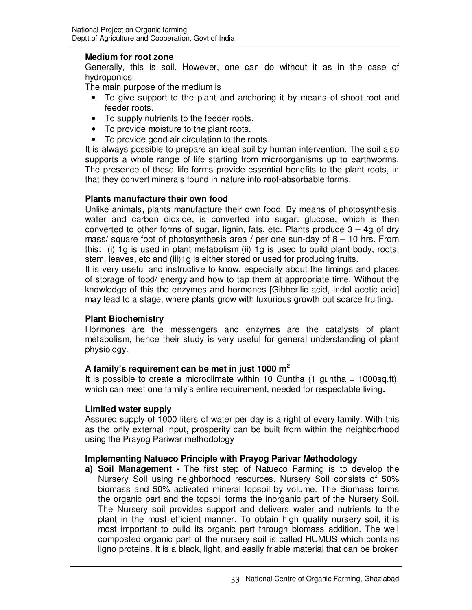#### **Medium for root zone**

Generally, this is soil. However, one can do without it as in the case of hydroponics.

The main purpose of the medium is

- To give support to the plant and anchoring it by means of shoot root and feeder roots.
- To supply nutrients to the feeder roots.
- To provide moisture to the plant roots.
- To provide good air circulation to the roots.

It is always possible to prepare an ideal soil by human intervention. The soil also supports a whole range of life starting from microorganisms up to earthworms. The presence of these life forms provide essential benefits to the plant roots, in that they convert minerals found in nature into root-absorbable forms.

# **Plants manufacture their own food**

Unlike animals, plants manufacture their own food. By means of photosynthesis, water and carbon dioxide, is converted into sugar: glucose, which is then converted to other forms of sugar, lignin, fats, etc. Plants produce  $3 - 4g$  of dry mass/ square foot of photosynthesis area / per one sun-day of  $8 - 10$  hrs. From this: (i) 1g is used in plant metabolism (ii) 1g is used to build plant body, roots, stem, leaves, etc and (iii)1g is either stored or used for producing fruits.

It is very useful and instructive to know, especially about the timings and places of storage of food/ energy and how to tap them at appropriate time. Without the knowledge of this the enzymes and hormones [Gibberilic acid, Indol acetic acid] may lead to a stage, where plants grow with luxurious growth but scarce fruiting.

#### **Plant Biochemistry**

Hormones are the messengers and enzymes are the catalysts of plant metabolism, hence their study is very useful for general understanding of plant physiology.

# **A family's requirement can be met in just 1000 m<sup>2</sup>**

It is possible to create a microclimate within 10 Guntha  $(1)$  guntha = 1000sq.ft), which can meet one family's entire requirement, needed for respectable living**.** 

#### **Limited water supply**

Assured supply of 1000 liters of water per day is a right of every family. With this as the only external input, prosperity can be built from within the neighborhood using the Prayog Pariwar methodology

#### **Implementing Natueco Principle with Prayog Parivar Methodology**

**a) Soil Management -** The first step of Natueco Farming is to develop the Nursery Soil using neighborhood resources. Nursery Soil consists of 50% biomass and 50% activated mineral topsoil by volume. The Biomass forms the organic part and the topsoil forms the inorganic part of the Nursery Soil. The Nursery soil provides support and delivers water and nutrients to the plant in the most efficient manner. To obtain high quality nursery soil, it is most important to build its organic part through biomass addition. The well composted organic part of the nursery soil is called HUMUS which contains ligno proteins. It is a black, light, and easily friable material that can be broken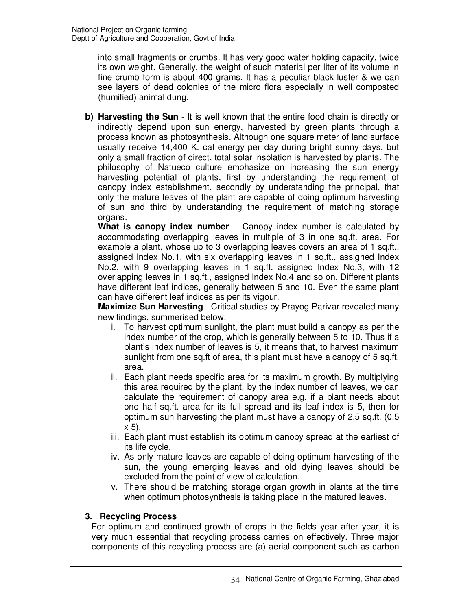into small fragments or crumbs. It has very good water holding capacity, twice its own weight. Generally, the weight of such material per liter of its volume in fine crumb form is about 400 grams. It has a peculiar black luster & we can see layers of dead colonies of the micro flora especially in well composted (humified) animal dung.

**b) Harvesting the Sun** - It is well known that the entire food chain is directly or indirectly depend upon sun energy, harvested by green plants through a process known as photosynthesis. Although one square meter of land surface usually receive 14,400 K. cal energy per day during bright sunny days, but only a small fraction of direct, total solar insolation is harvested by plants. The philosophy of Natueco culture emphasize on increasing the sun energy harvesting potential of plants, first by understanding the requirement of canopy index establishment, secondly by understanding the principal, that only the mature leaves of the plant are capable of doing optimum harvesting of sun and third by understanding the requirement of matching storage organs.

**What is canopy index number** – Canopy index number is calculated by accommodating overlapping leaves in multiple of 3 in one sq.ft. area. For example a plant, whose up to 3 overlapping leaves covers an area of 1 sq.ft., assigned Index No.1, with six overlapping leaves in 1 sq.ft., assigned Index No.2, with 9 overlapping leaves in 1 sq.ft. assigned Index No.3, with 12 overlapping leaves in 1 sq.ft., assigned Index No.4 and so on. Different plants have different leaf indices, generally between 5 and 10. Even the same plant can have different leaf indices as per its vigour.

**Maximize Sun Harvesting** - Critical studies by Prayog Parivar revealed many new findings, summerised below:

- i. To harvest optimum sunlight, the plant must build a canopy as per the index number of the crop, which is generally between 5 to 10. Thus if a plant's index number of leaves is 5, it means that, to harvest maximum sunlight from one sq.ft of area, this plant must have a canopy of 5 sq.ft. area.
- ii. Each plant needs specific area for its maximum growth. By multiplying this area required by the plant, by the index number of leaves, we can calculate the requirement of canopy area e.g. if a plant needs about one half sq.ft. area for its full spread and its leaf index is 5, then for optimum sun harvesting the plant must have a canopy of 2.5 sq.ft. (0.5  $x(5)$ .
- iii. Each plant must establish its optimum canopy spread at the earliest of its life cycle.
- iv. As only mature leaves are capable of doing optimum harvesting of the sun, the young emerging leaves and old dying leaves should be excluded from the point of view of calculation.
- v. There should be matching storage organ growth in plants at the time when optimum photosynthesis is taking place in the matured leaves.

# **3. Recycling Process**

For optimum and continued growth of crops in the fields year after year, it is very much essential that recycling process carries on effectively. Three major components of this recycling process are (a) aerial component such as carbon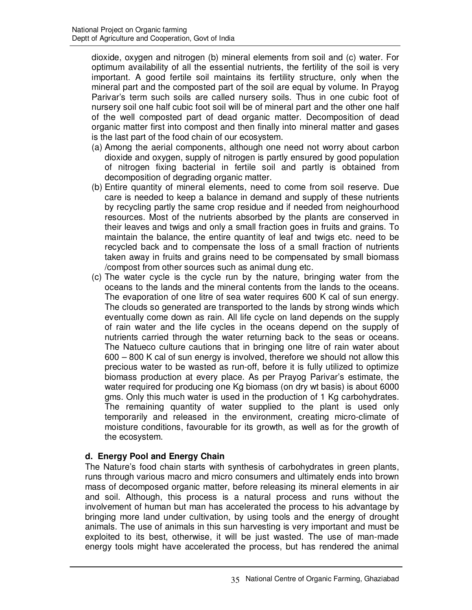dioxide, oxygen and nitrogen (b) mineral elements from soil and (c) water. For optimum availability of all the essential nutrients, the fertility of the soil is very important. A good fertile soil maintains its fertility structure, only when the mineral part and the composted part of the soil are equal by volume. In Prayog Parivar's term such soils are called nursery soils. Thus in one cubic foot of nursery soil one half cubic foot soil will be of mineral part and the other one half of the well composted part of dead organic matter. Decomposition of dead organic matter first into compost and then finally into mineral matter and gases is the last part of the food chain of our ecosystem.

- (a) Among the aerial components, although one need not worry about carbon dioxide and oxygen, supply of nitrogen is partly ensured by good population of nitrogen fixing bacterial in fertile soil and partly is obtained from decomposition of degrading organic matter.
- (b) Entire quantity of mineral elements, need to come from soil reserve. Due care is needed to keep a balance in demand and supply of these nutrients by recycling partly the same crop residue and if needed from neighourhood resources. Most of the nutrients absorbed by the plants are conserved in their leaves and twigs and only a small fraction goes in fruits and grains. To maintain the balance, the entire quantity of leaf and twigs etc. need to be recycled back and to compensate the loss of a small fraction of nutrients taken away in fruits and grains need to be compensated by small biomass /compost from other sources such as animal dung etc.
- (c) The water cycle is the cycle run by the nature, bringing water from the oceans to the lands and the mineral contents from the lands to the oceans. The evaporation of one litre of sea water requires 600 K cal of sun energy. The clouds so generated are transported to the lands by strong winds which eventually come down as rain. All life cycle on land depends on the supply of rain water and the life cycles in the oceans depend on the supply of nutrients carried through the water returning back to the seas or oceans. The Natueco culture cautions that in bringing one litre of rain water about 600 – 800 K cal of sun energy is involved, therefore we should not allow this precious water to be wasted as run-off, before it is fully utilized to optimize biomass production at every place. As per Prayog Parivar's estimate, the water required for producing one Kg biomass (on dry wt basis) is about 6000 gms. Only this much water is used in the production of 1 Kg carbohydrates. The remaining quantity of water supplied to the plant is used only temporarily and released in the environment, creating micro-climate of moisture conditions, favourable for its growth, as well as for the growth of the ecosystem.

# **d. Energy Pool and Energy Chain**

The Nature's food chain starts with synthesis of carbohydrates in green plants, runs through various macro and micro consumers and ultimately ends into brown mass of decomposed organic matter, before releasing its mineral elements in air and soil. Although, this process is a natural process and runs without the involvement of human but man has accelerated the process to his advantage by bringing more land under cultivation, by using tools and the energy of drought animals. The use of animals in this sun harvesting is very important and must be exploited to its best, otherwise, it will be just wasted. The use of man-made energy tools might have accelerated the process, but has rendered the animal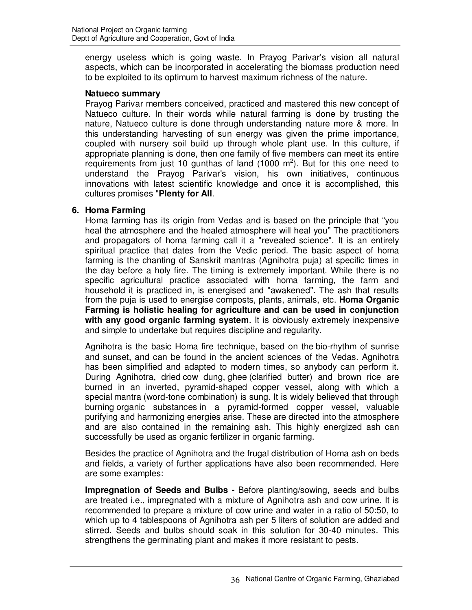energy useless which is going waste. In Prayog Parivar's vision all natural aspects, which can be incorporated in accelerating the biomass production need to be exploited to its optimum to harvest maximum richness of the nature.

#### **Natueco summary**

Prayog Parivar members conceived, practiced and mastered this new concept of Natueco culture. In their words while natural farming is done by trusting the nature, Natueco culture is done through understanding nature more & more. In this understanding harvesting of sun energy was given the prime importance, coupled with nursery soil build up through whole plant use. In this culture, if appropriate planning is done, then one family of five members can meet its entire requirements from just 10 gunthas of land  $(1000 \text{ m}^2)$ . But for this one need to understand the Prayog Parivar's vision, his own initiatives, continuous innovations with latest scientific knowledge and once it is accomplished, this cultures promises "**Plenty for All**.

#### **6. Homa Farming**

Homa farming has its origin from Vedas and is based on the principle that "you heal the atmosphere and the healed atmosphere will heal you" The practitioners and propagators of homa farming call it a "revealed science". It is an entirely spiritual practice that dates from the Vedic period. The basic aspect of homa farming is the chanting of Sanskrit mantras (Agnihotra puja) at specific times in the day before a holy fire. The timing is extremely important. While there is no specific agricultural practice associated with homa farming, the farm and household it is practiced in, is energised and "awakened". The ash that results from the puja is used to energise composts, plants, animals, etc. **Homa Organic Farming is holistic healing for agriculture and can be used in conjunction with any good organic farming system**. It is obviously extremely inexpensive and simple to undertake but requires discipline and regularity.

Agnihotra is the basic Homa fire technique, based on the bio-rhythm of sunrise and sunset, and can be found in the ancient sciences of the Vedas. Agnihotra has been simplified and adapted to modern times, so anybody can perform it. During Agnihotra, dried cow dung, ghee (clarified butter) and brown rice are burned in an inverted, pyramid-shaped copper vessel, along with which a special mantra (word-tone combination) is sung. It is widely believed that through burning organic substances in a pyramid-formed copper vessel, valuable purifying and harmonizing energies arise. These are directed into the atmosphere and are also contained in the remaining ash. This highly energized ash can successfully be used as organic fertilizer in organic farming.

Besides the practice of Agnihotra and the frugal distribution of Homa ash on beds and fields, a variety of further applications have also been recommended. Here are some examples:

**Impregnation of Seeds and Bulbs -** Before planting/sowing, seeds and bulbs are treated i.e., impregnated with a mixture of Agnihotra ash and cow urine. It is recommended to prepare a mixture of cow urine and water in a ratio of 50:50, to which up to 4 tablespoons of Agnihotra ash per 5 liters of solution are added and stirred. Seeds and bulbs should soak in this solution for 30-40 minutes. This strengthens the germinating plant and makes it more resistant to pests.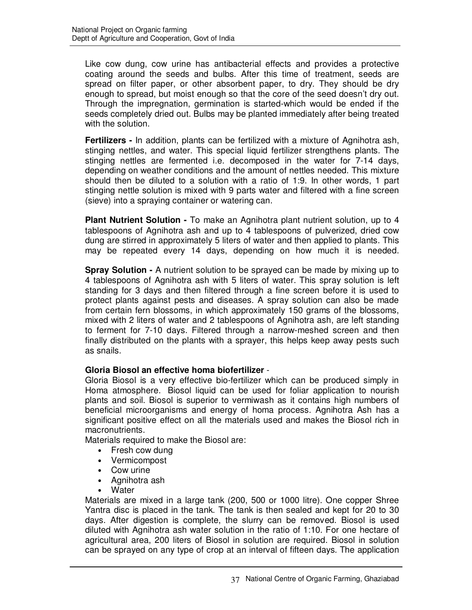Like cow dung, cow urine has antibacterial effects and provides a protective coating around the seeds and bulbs. After this time of treatment, seeds are spread on filter paper, or other absorbent paper, to dry. They should be dry enough to spread, but moist enough so that the core of the seed doesn't dry out. Through the impregnation, germination is started-which would be ended if the seeds completely dried out. Bulbs may be planted immediately after being treated with the solution.

**Fertilizers -** In addition, plants can be fertilized with a mixture of Agnihotra ash, stinging nettles, and water. This special liquid fertilizer strengthens plants. The stinging nettles are fermented i.e. decomposed in the water for 7-14 days, depending on weather conditions and the amount of nettles needed. This mixture should then be diluted to a solution with a ratio of 1:9. In other words, 1 part stinging nettle solution is mixed with 9 parts water and filtered with a fine screen (sieve) into a spraying container or watering can.

**Plant Nutrient Solution -** To make an Agnihotra plant nutrient solution, up to 4 tablespoons of Agnihotra ash and up to 4 tablespoons of pulverized, dried cow dung are stirred in approximately 5 liters of water and then applied to plants. This may be repeated every 14 days, depending on how much it is needed.

**Spray Solution -** A nutrient solution to be sprayed can be made by mixing up to 4 tablespoons of Agnihotra ash with 5 liters of water. This spray solution is left standing for 3 days and then filtered through a fine screen before it is used to protect plants against pests and diseases. A spray solution can also be made from certain fern blossoms, in which approximately 150 grams of the blossoms, mixed with 2 liters of water and 2 tablespoons of Agnihotra ash, are left standing to ferment for 7-10 days. Filtered through a narrow-meshed screen and then finally distributed on the plants with a sprayer, this helps keep away pests such as snails.

#### **Gloria Biosol an effective homa biofertilizer** -

Gloria Biosol is a very effective bio-fertilizer which can be produced simply in Homa atmosphere. Biosol liquid can be used for foliar application to nourish plants and soil. Biosol is superior to vermiwash as it contains high numbers of beneficial microorganisms and energy of homa process. Agnihotra Ash has a significant positive effect on all the materials used and makes the Biosol rich in macronutrients.

Materials required to make the Biosol are:

- Fresh cow dung
- Vermicompost
- Cow urine
- Agnihotra ash
- Water

Materials are mixed in a large tank (200, 500 or 1000 litre). One copper Shree Yantra disc is placed in the tank. The tank is then sealed and kept for 20 to 30 days. After digestion is complete, the slurry can be removed. Biosol is used diluted with Agnihotra ash water solution in the ratio of 1:10. For one hectare of agricultural area, 200 liters of Biosol in solution are required. Biosol in solution can be sprayed on any type of crop at an interval of fifteen days. The application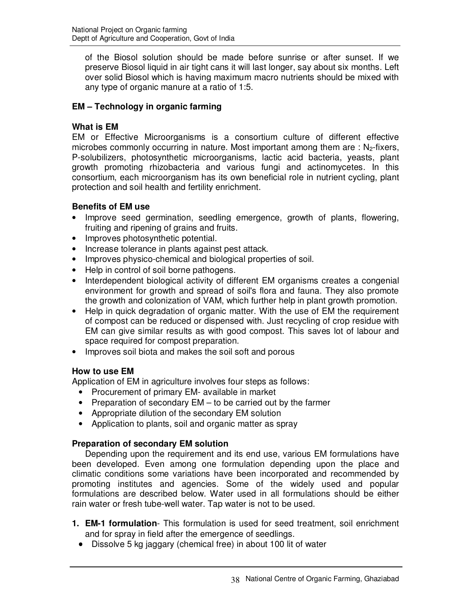of the Biosol solution should be made before sunrise or after sunset. If we preserve Biosol liquid in air tight cans it will last longer, say about six months. Left over solid Biosol which is having maximum macro nutrients should be mixed with any type of organic manure at a ratio of 1:5.

# **EM – Technology in organic farming**

# **What is EM**

EM or Effective Microorganisms is a consortium culture of different effective microbes commonly occurring in nature. Most important among them are :  $N<sub>2</sub>$ -fixers, P-solubilizers, photosynthetic microorganisms, lactic acid bacteria, yeasts, plant growth promoting rhizobacteria and various fungi and actinomycetes. In this consortium, each microorganism has its own beneficial role in nutrient cycling, plant protection and soil health and fertility enrichment.

# **Benefits of EM use**

- Improve seed germination, seedling emergence, growth of plants, flowering, fruiting and ripening of grains and fruits.
- Improves photosynthetic potential.
- Increase tolerance in plants against pest attack.
- Improves physico-chemical and biological properties of soil.
- Help in control of soil borne pathogens.
- Interdependent biological activity of different EM organisms creates a congenial environment for growth and spread of soil's flora and fauna. They also promote the growth and colonization of VAM, which further help in plant growth promotion.
- Help in quick degradation of organic matter. With the use of EM the requirement of compost can be reduced or dispensed with. Just recycling of crop residue with EM can give similar results as with good compost. This saves lot of labour and space required for compost preparation.
- Improves soil biota and makes the soil soft and porous

# **How to use EM**

Application of EM in agriculture involves four steps as follows:

- Procurement of primary EM- available in market
- Preparation of secondary EM to be carried out by the farmer
- Appropriate dilution of the secondary EM solution
- Application to plants, soil and organic matter as spray

# **Preparation of secondary EM solution**

Depending upon the requirement and its end use, various EM formulations have been developed. Even among one formulation depending upon the place and climatic conditions some variations have been incorporated and recommended by promoting institutes and agencies. Some of the widely used and popular formulations are described below. Water used in all formulations should be either rain water or fresh tube-well water. Tap water is not to be used.

- **1. EM-1 formulation** This formulation is used for seed treatment, soil enrichment and for spray in field after the emergence of seedlings.
	- Dissolve 5 kg jaggary (chemical free) in about 100 lit of water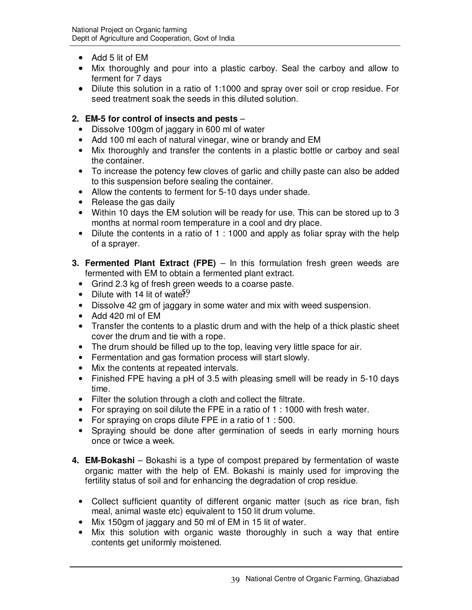- Add 5 lit of EM
- Mix thoroughly and pour into a plastic carboy. Seal the carboy and allow to ferment for 7 days
- Dilute this solution in a ratio of 1:1000 and spray over soil or crop residue. For seed treatment soak the seeds in this diluted solution.

# **2. EM-5 for control of insects and pests** –

- Dissolve 100gm of jaggary in 600 ml of water
- Add 100 ml each of natural vinegar, wine or brandy and EM
- Mix thoroughly and transfer the contents in a plastic bottle or carboy and seal the container.
- To increase the potency few cloves of garlic and chilly paste can also be added to this suspension before sealing the container.
- Allow the contents to ferment for 5-10 days under shade.
- Release the gas daily
- Within 10 days the EM solution will be ready for use. This can be stored up to 3 months at normal room temperature in a cool and dry place.
- Dilute the contents in a ratio of 1 : 1000 and apply as foliar spray with the help of a sprayer.
- **3. Fermented Plant Extract (FPE)** In this formulation fresh green weeds are fermented with EM to obtain a fermented plant extract.
	- Grind 2.3 kg of fresh green weeds to a coarse paste.
	- Dilute with 14 lit of water.
	- Dissolve 42 gm of jaggary in some water and mix with weed suspension.
	- Add 420 ml of EM
	- Transfer the contents to a plastic drum and with the help of a thick plastic sheet cover the drum and tie with a rope.
	- The drum should be filled up to the top, leaving very little space for air.
	- Fermentation and gas formation process will start slowly.
	- Mix the contents at repeated intervals.
	- Finished FPE having a pH of 3.5 with pleasing smell will be ready in 5-10 days time.
	- Filter the solution through a cloth and collect the filtrate.
	- For spraying on soil dilute the FPE in a ratio of 1 : 1000 with fresh water.
	- For spraying on crops dilute FPE in a ratio of 1 : 500.
	- Spraying should be done after germination of seeds in early morning hours once or twice a week.
- **4. EM-Bokashi** Bokashi is a type of compost prepared by fermentation of waste organic matter with the help of EM. Bokashi is mainly used for improving the fertility status of soil and for enhancing the degradation of crop residue.
	- Collect sufficient quantity of different organic matter (such as rice bran, fish meal, animal waste etc) equivalent to 150 lit drum volume.
	- Mix 150gm of jaggary and 50 ml of EM in 15 lit of water.
	- Mix this solution with organic waste thoroughly in such a way that entire contents get uniformly moistened.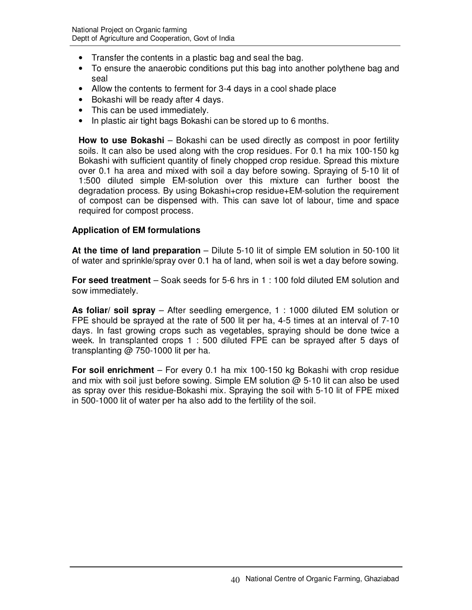- Transfer the contents in a plastic bag and seal the bag.
- To ensure the anaerobic conditions put this bag into another polythene bag and seal
- Allow the contents to ferment for 3-4 days in a cool shade place
- Bokashi will be ready after 4 days.
- This can be used immediately.
- In plastic air tight bags Bokashi can be stored up to 6 months.

**How to use Bokashi** – Bokashi can be used directly as compost in poor fertility soils. It can also be used along with the crop residues. For 0.1 ha mix 100-150 kg Bokashi with sufficient quantity of finely chopped crop residue. Spread this mixture over 0.1 ha area and mixed with soil a day before sowing. Spraying of 5-10 lit of 1:500 diluted simple EM-solution over this mixture can further boost the degradation process. By using Bokashi+crop residue+EM-solution the requirement of compost can be dispensed with. This can save lot of labour, time and space required for compost process.

#### **Application of EM formulations**

**At the time of land preparation** – Dilute 5-10 lit of simple EM solution in 50-100 lit of water and sprinkle/spray over 0.1 ha of land, when soil is wet a day before sowing.

**For seed treatment** – Soak seeds for 5-6 hrs in 1 : 100 fold diluted EM solution and sow immediately.

**As foliar/ soil spray** – After seedling emergence, 1 : 1000 diluted EM solution or FPE should be sprayed at the rate of 500 lit per ha, 4-5 times at an interval of 7-10 days. In fast growing crops such as vegetables, spraying should be done twice a week. In transplanted crops 1 : 500 diluted FPE can be sprayed after 5 days of transplanting @ 750-1000 lit per ha.

**For soil enrichment** – For every 0.1 ha mix 100-150 kg Bokashi with crop residue and mix with soil just before sowing. Simple EM solution  $\omega$  5-10 lit can also be used as spray over this residue-Bokashi mix. Spraying the soil with 5-10 lit of FPE mixed in 500-1000 lit of water per ha also add to the fertility of the soil.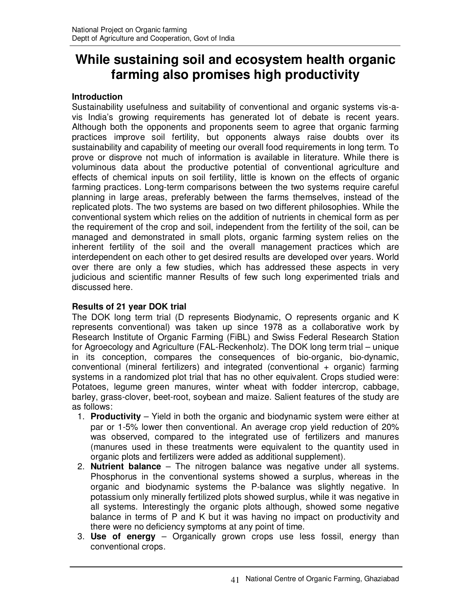# **While sustaining soil and ecosystem health organic farming also promises high productivity**

# **Introduction**

Sustainability usefulness and suitability of conventional and organic systems vis-avis India's growing requirements has generated lot of debate is recent years. Although both the opponents and proponents seem to agree that organic farming practices improve soil fertility, but opponents always raise doubts over its sustainability and capability of meeting our overall food requirements in long term. To prove or disprove not much of information is available in literature. While there is voluminous data about the productive potential of conventional agriculture and effects of chemical inputs on soil fertility, little is known on the effects of organic farming practices. Long-term comparisons between the two systems require careful planning in large areas, preferably between the farms themselves, instead of the replicated plots. The two systems are based on two different philosophies. While the conventional system which relies on the addition of nutrients in chemical form as per the requirement of the crop and soil, independent from the fertility of the soil, can be managed and demonstrated in small plots, organic farming system relies on the inherent fertility of the soil and the overall management practices which are interdependent on each other to get desired results are developed over years. World over there are only a few studies, which has addressed these aspects in very judicious and scientific manner Results of few such long experimented trials and discussed here.

# **Results of 21 year DOK trial**

The DOK long term trial (D represents Biodynamic, O represents organic and K represents conventional) was taken up since 1978 as a collaborative work by Research Institute of Organic Farming (FiBL) and Swiss Federal Research Station for Agroecology and Agriculture (FAL-Reckenholz). The DOK long term trial – unique in its conception, compares the consequences of bio-organic, bio-dynamic, conventional (mineral fertilizers) and integrated (conventional + organic) farming systems in a randomized plot trial that has no other equivalent. Crops studied were: Potatoes, legume green manures, winter wheat with fodder intercrop, cabbage, barley, grass-clover, beet-root, soybean and maize. Salient features of the study are as follows:

- 1. **Productivity** Yield in both the organic and biodynamic system were either at par or 1-5% lower then conventional. An average crop yield reduction of 20% was observed, compared to the integrated use of fertilizers and manures (manures used in these treatments were equivalent to the quantity used in organic plots and fertilizers were added as additional supplement).
- 2. **Nutrient balance**  The nitrogen balance was negative under all systems. Phosphorus in the conventional systems showed a surplus, whereas in the organic and biodynamic systems the P-balance was slightly negative. In potassium only minerally fertilized plots showed surplus, while it was negative in all systems. Interestingly the organic plots although, showed some negative balance in terms of P and K but it was having no impact on productivity and there were no deficiency symptoms at any point of time.
- 3. **Use of energy**  Organically grown crops use less fossil, energy than conventional crops.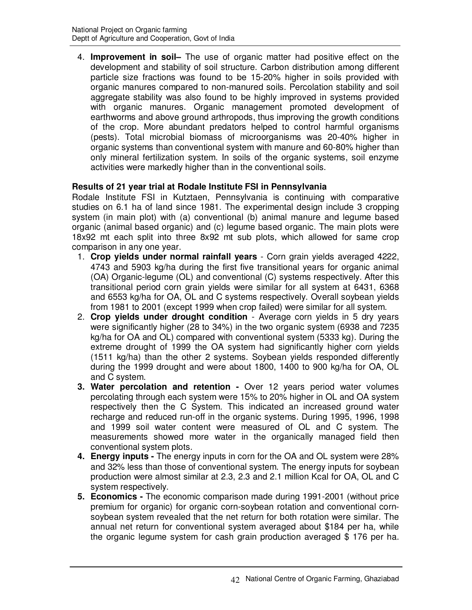4. **Improvement in soil–** The use of organic matter had positive effect on the development and stability of soil structure. Carbon distribution among different particle size fractions was found to be 15-20% higher in soils provided with organic manures compared to non-manured soils. Percolation stability and soil aggregate stability was also found to be highly improved in systems provided with organic manures. Organic management promoted development of earthworms and above ground arthropods, thus improving the growth conditions of the crop. More abundant predators helped to control harmful organisms (pests). Total microbial biomass of microorganisms was 20-40% higher in organic systems than conventional system with manure and 60-80% higher than only mineral fertilization system. In soils of the organic systems, soil enzyme activities were markedly higher than in the conventional soils.

# **Results of 21 year trial at Rodale Institute FSI in Pennsylvania**

Rodale Institute FSI in Kutztaen, Pennsylvania is continuing with comparative studies on 6.1 ha of land since 1981. The experimental design include 3 cropping system (in main plot) with (a) conventional (b) animal manure and legume based organic (animal based organic) and (c) legume based organic. The main plots were 18x92 mt each split into three 8x92 mt sub plots, which allowed for same crop comparison in any one year.

- 1. **Crop yields under normal rainfall years** Corn grain yields averaged 4222, 4743 and 5903 kg/ha during the first five transitional years for organic animal (OA) Organic-legume (OL) and conventional (C) systems respectively. After this transitional period corn grain yields were similar for all system at 6431, 6368 and 6553 kg/ha for OA, OL and C systems respectively. Overall soybean yields from 1981 to 2001 (except 1999 when crop failed) were similar for all system.
- 2. **Crop yields under drought condition** Average corn yields in 5 dry years were significantly higher (28 to 34%) in the two organic system (6938 and 7235 kg/ha for OA and OL) compared with conventional system (5333 kg). During the extreme drought of 1999 the OA system had significantly higher corn yields (1511 kg/ha) than the other 2 systems. Soybean yields responded differently during the 1999 drought and were about 1800, 1400 to 900 kg/ha for OA, OL and C system.
- **3. Water percolation and retention** Over 12 years period water volumes percolating through each system were 15% to 20% higher in OL and OA system respectively then the C System. This indicated an increased ground water recharge and reduced run-off in the organic systems. During 1995, 1996, 1998 and 1999 soil water content were measured of OL and C system. The measurements showed more water in the organically managed field then conventional system plots.
- **4. Energy inputs** The energy inputs in corn for the OA and OL system were 28% and 32% less than those of conventional system. The energy inputs for soybean production were almost similar at 2.3, 2.3 and 2.1 million Kcal for OA, OL and C system respectively.
- **5. Economics** The economic comparison made during 1991-2001 (without price premium for organic) for organic corn-soybean rotation and conventional cornsoybean system revealed that the net return for both rotation were similar. The annual net return for conventional system averaged about \$184 per ha, while the organic legume system for cash grain production averaged \$ 176 per ha.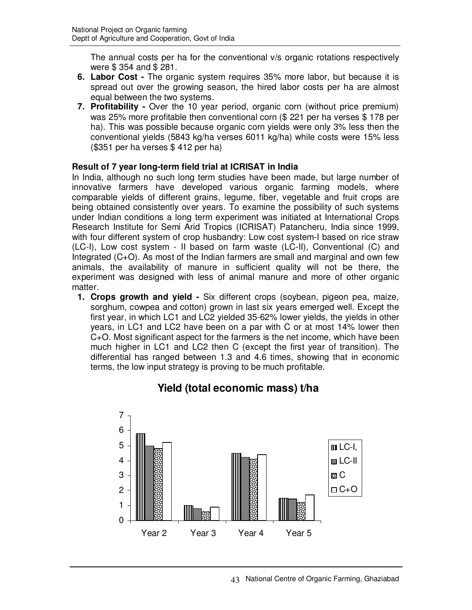The annual costs per ha for the conventional v/s organic rotations respectively were \$ 354 and \$ 281.

- **6. Labor Cost** The organic system requires 35% more labor, but because it is spread out over the growing season, the hired labor costs per ha are almost equal between the two systems.
- **7. Profitability -** Over the 10 year period, organic corn (without price premium) was 25% more profitable then conventional corn (\$ 221 per ha verses \$ 178 per ha). This was possible because organic corn yields were only 3% less then the conventional yields (5843 kg/ha verses 6011 kg/ha) while costs were 15% less (\$351 per ha verses \$ 412 per ha)

# **Result of 7 year long-term field trial at ICRISAT in India**

In India, although no such long term studies have been made, but large number of innovative farmers have developed various organic farming models, where comparable yields of different grains, legume, fiber, vegetable and fruit crops are being obtained consistently over years. To examine the possibility of such systems under Indian conditions a long term experiment was initiated at International Crops Research Institute for Semi Arid Tropics (ICRISAT) Patancheru, India since 1999, with four different system of crop husbandry: Low cost system-I based on rice straw (LC-I), Low cost system - II based on farm waste (LC-II), Conventional (C) and Integrated  $(C+O)$ . As most of the Indian farmers are small and marginal and own few animals, the availability of manure in sufficient quality will not be there, the experiment was designed with less of animal manure and more of other organic matter.

**1. Crops growth and yield -** Six different crops (soybean, pigeon pea, maize, sorghum, cowpea and cotton) grown in last six years emerged well. Except the first year, in which LC1 and LC2 yielded 35-62% lower yields, the yields in other years, in LC1 and LC2 have been on a par with C or at most 14% lower then C+O. Most significant aspect for the farmers is the net income, which have been much higher in LC1 and LC2 then C (except the first year of transition). The differential has ranged between 1.3 and 4.6 times, showing that in economic terms, the low input strategy is proving to be much profitable.



# **Yield (total economic mass) t/ha**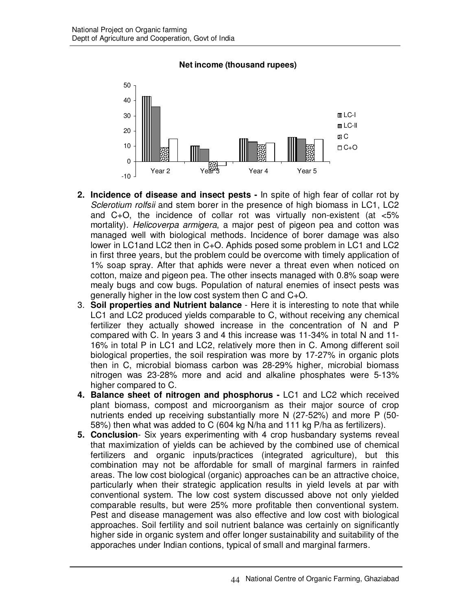

#### **Net income (thousand rupees)**

- **2. Incidence of disease and insect pests** In spite of high fear of collar rot by Sclerotium rolfsii and stem borer in the presence of high biomass in LC1, LC2 and  $C+O$ , the incidence of collar rot was virtually non-existent (at  $<5\%$ ) mortality). Helicoverpa armigera, a major pest of pigeon pea and cotton was managed well with biological methods. Incidence of borer damage was also lower in LC1and LC2 then in C+O. Aphids posed some problem in LC1 and LC2 in first three years, but the problem could be overcome with timely application of 1% soap spray. After that aphids were never a threat even when noticed on cotton, maize and pigeon pea. The other insects managed with 0.8% soap were mealy bugs and cow bugs. Population of natural enemies of insect pests was generally higher in the low cost system then C and C+O.
- 3. **Soil properties and Nutrient balance** Here it is interesting to note that while LC1 and LC2 produced yields comparable to C, without receiving any chemical fertilizer they actually showed increase in the concentration of N and P compared with C. In years 3 and 4 this increase was 11-34% in total N and 11- 16% in total P in LC1 and LC2, relatively more then in C. Among different soil biological properties, the soil respiration was more by 17-27% in organic plots then in C, microbial biomass carbon was 28-29% higher, microbial biomass nitrogen was 23-28% more and acid and alkaline phosphates were 5-13% higher compared to C.
- **4. Balance sheet of nitrogen and phosphorus** LC1 and LC2 which received plant biomass, compost and microorganism as their major source of crop nutrients ended up receiving substantially more N (27-52%) and more P (50- 58%) then what was added to C (604 kg N/ha and 111 kg P/ha as fertilizers).
- **5. Conclusion** Six years experimenting with 4 crop husbandary systems reveal that maximization of yields can be achieved by the combined use of chemical fertilizers and organic inputs/practices (integrated agriculture), but this combination may not be affordable for small of marginal farmers in rainfed areas. The low cost biological (organic) approaches can be an attractive choice, particularly when their strategic application results in yield levels at par with conventional system. The low cost system discussed above not only yielded comparable results, but were 25% more profitable then conventional system. Pest and disease management was also effective and low cost with biological approaches. Soil fertility and soil nutrient balance was certainly on significantly higher side in organic system and offer longer sustainability and suitability of the apporaches under Indian contions, typical of small and marginal farmers.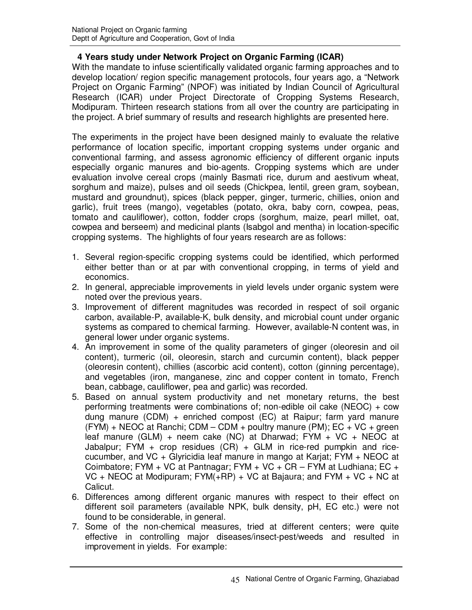# **4 Years study under Network Project on Organic Farming (ICAR)**

With the mandate to infuse scientifically validated organic farming approaches and to develop location/ region specific management protocols, four years ago, a "Network Project on Organic Farming" (NPOF) was initiated by Indian Council of Agricultural Research (ICAR) under Project Directorate of Cropping Systems Research, Modipuram. Thirteen research stations from all over the country are participating in the project. A brief summary of results and research highlights are presented here.

The experiments in the project have been designed mainly to evaluate the relative performance of location specific, important cropping systems under organic and conventional farming, and assess agronomic efficiency of different organic inputs especially organic manures and bio-agents. Cropping systems which are under evaluation involve cereal crops (mainly Basmati rice, durum and aestivum wheat, sorghum and maize), pulses and oil seeds (Chickpea, lentil, green gram, soybean, mustard and groundnut), spices (black pepper, ginger, turmeric, chillies, onion and garlic), fruit trees (mango), vegetables (potato, okra, baby corn, cowpea, peas, tomato and cauliflower), cotton, fodder crops (sorghum, maize, pearl millet, oat, cowpea and berseem) and medicinal plants (Isabgol and mentha) in location-specific cropping systems. The highlights of four years research are as follows:

- 1. Several region-specific cropping systems could be identified, which performed either better than or at par with conventional cropping, in terms of yield and economics.
- 2. In general, appreciable improvements in yield levels under organic system were noted over the previous years.
- 3. Improvement of different magnitudes was recorded in respect of soil organic carbon, available-P, available-K, bulk density, and microbial count under organic systems as compared to chemical farming. However, available-N content was, in general lower under organic systems.
- 4. An improvement in some of the quality parameters of ginger (oleoresin and oil content), turmeric (oil, oleoresin, starch and curcumin content), black pepper (oleoresin content), chillies (ascorbic acid content), cotton (ginning percentage), and vegetables (iron, manganese, zinc and copper content in tomato, French bean, cabbage, cauliflower, pea and garlic) was recorded.
- 5. Based on annual system productivity and net monetary returns, the best performing treatments were combinations of; non-edible oil cake (NEOC) + cow dung manure (CDM) + enriched compost (EC) at Raipur; farm yard manure  $(FYM)$  + NEOC at Ranchi; CDM – CDM + poultry manure (PM); EC + VC + green leaf manure (GLM) + neem cake (NC) at Dharwad; FYM + VC + NEOC at Jabalpur; FYM  $+$  crop residues (CR)  $+$  GLM in rice-red pumpkin and ricecucumber, and VC + Glyricidia leaf manure in mango at Karjat; FYM + NEOC at Coimbatore; FYM + VC at Pantnagar; FYM + VC +  $CR$  – FYM at Ludhiana; EC + VC + NEOC at Modipuram; FYM(+RP) + VC at Bajaura; and FYM + VC + NC at Calicut.
- 6. Differences among different organic manures with respect to their effect on different soil parameters (available NPK, bulk density, pH, EC etc.) were not found to be considerable, in general.
- 7. Some of the non-chemical measures, tried at different centers; were quite effective in controlling major diseases/insect-pest/weeds and resulted in improvement in yields. For example: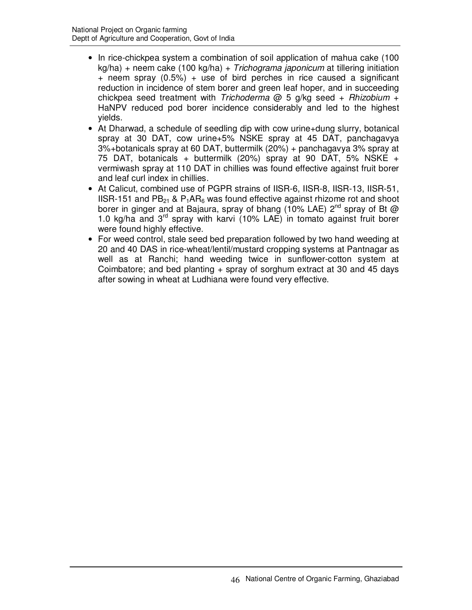- In rice-chickpea system a combination of soil application of mahua cake (100  $kg/ha$ ) + neem cake (100 kg/ha) + Trichograma japonicum at tillering initiation + neem spray (0.5%) + use of bird perches in rice caused a significant reduction in incidence of stem borer and green leaf hoper, and in succeeding chickpea seed treatment with Trichoderma  $@$  5 g/kg seed + Rhizobium + HaNPV reduced pod borer incidence considerably and led to the highest yields.
- At Dharwad, a schedule of seedling dip with cow urine+dung slurry, botanical spray at 30 DAT, cow urine+5% NSKE spray at 45 DAT, panchagavya 3%+botanicals spray at 60 DAT, buttermilk (20%) + panchagavya 3% spray at 75 DAT, botanicals + buttermilk (20%) spray at 90 DAT, 5% NSKE + vermiwash spray at 110 DAT in chillies was found effective against fruit borer and leaf curl index in chillies.
- At Calicut, combined use of PGPR strains of IISR-6, IISR-8, IISR-13, IISR-51, IISR-151 and  $PB<sub>21</sub>$  &  $P<sub>1</sub>AR<sub>6</sub>$  was found effective against rhizome rot and shoot borer in ginger and at Bajaura, spray of bhang (10% LAE)  $2^{nd}$  spray of Bt  $\omega$ 1.0 kg/ha and  $3^{rd}$  spray with karvi (10% LAE) in tomato against fruit borer were found highly effective.
- For weed control, stale seed bed preparation followed by two hand weeding at 20 and 40 DAS in rice-wheat/lentil/mustard cropping systems at Pantnagar as well as at Ranchi; hand weeding twice in sunflower-cotton system at Coimbatore; and bed planting + spray of sorghum extract at 30 and 45 days after sowing in wheat at Ludhiana were found very effective.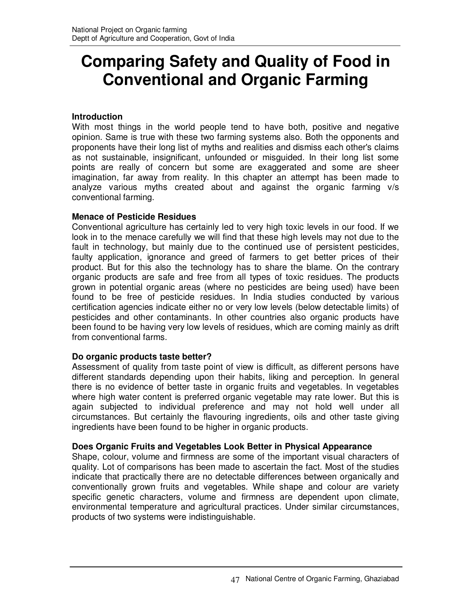# **Comparing Safety and Quality of Food in Conventional and Organic Farming**

#### **Introduction**

With most things in the world people tend to have both, positive and negative opinion. Same is true with these two farming systems also. Both the opponents and proponents have their long list of myths and realities and dismiss each other's claims as not sustainable, insignificant, unfounded or misguided. In their long list some points are really of concern but some are exaggerated and some are sheer imagination, far away from reality. In this chapter an attempt has been made to analyze various myths created about and against the organic farming v/s conventional farming.

#### **Menace of Pesticide Residues**

Conventional agriculture has certainly led to very high toxic levels in our food. If we look in to the menace carefully we will find that these high levels may not due to the fault in technology, but mainly due to the continued use of persistent pesticides, faulty application, ignorance and greed of farmers to get better prices of their product. But for this also the technology has to share the blame. On the contrary organic products are safe and free from all types of toxic residues. The products grown in potential organic areas (where no pesticides are being used) have been found to be free of pesticide residues. In India studies conducted by various certification agencies indicate either no or very low levels (below detectable limits) of pesticides and other contaminants. In other countries also organic products have been found to be having very low levels of residues, which are coming mainly as drift from conventional farms.

#### **Do organic products taste better?**

Assessment of quality from taste point of view is difficult, as different persons have different standards depending upon their habits, liking and perception. In general there is no evidence of better taste in organic fruits and vegetables. In vegetables where high water content is preferred organic vegetable may rate lower. But this is again subjected to individual preference and may not hold well under all circumstances. But certainly the flavouring ingredients, oils and other taste giving ingredients have been found to be higher in organic products.

#### **Does Organic Fruits and Vegetables Look Better in Physical Appearance**

Shape, colour, volume and firmness are some of the important visual characters of quality. Lot of comparisons has been made to ascertain the fact. Most of the studies indicate that practically there are no detectable differences between organically and conventionally grown fruits and vegetables. While shape and colour are variety specific genetic characters, volume and firmness are dependent upon climate, environmental temperature and agricultural practices. Under similar circumstances, products of two systems were indistinguishable.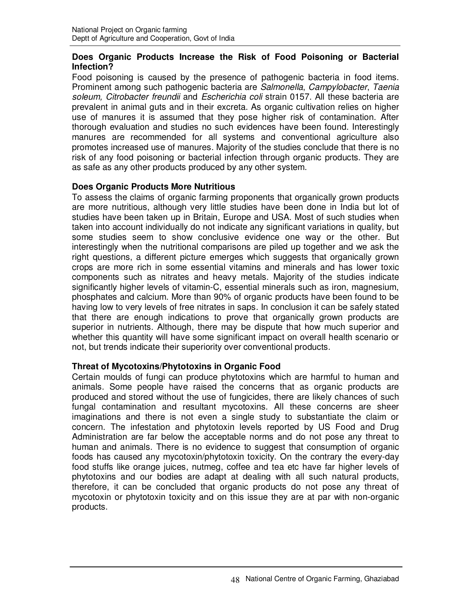#### **Does Organic Products Increase the Risk of Food Poisoning or Bacterial Infection?**

Food poisoning is caused by the presence of pathogenic bacteria in food items. Prominent among such pathogenic bacteria are Salmonella, Campylobacter, Taenia soleum, Citrobacter freundii and Escherichia coli strain 0157. All these bacteria are prevalent in animal guts and in their excreta. As organic cultivation relies on higher use of manures it is assumed that they pose higher risk of contamination. After thorough evaluation and studies no such evidences have been found. Interestingly manures are recommended for all systems and conventional agriculture also promotes increased use of manures. Majority of the studies conclude that there is no risk of any food poisoning or bacterial infection through organic products. They are as safe as any other products produced by any other system.

# **Does Organic Products More Nutritious**

To assess the claims of organic farming proponents that organically grown products are more nutritious, although very little studies have been done in India but lot of studies have been taken up in Britain, Europe and USA. Most of such studies when taken into account individually do not indicate any significant variations in quality, but some studies seem to show conclusive evidence one way or the other. But interestingly when the nutritional comparisons are piled up together and we ask the right questions, a different picture emerges which suggests that organically grown crops are more rich in some essential vitamins and minerals and has lower toxic components such as nitrates and heavy metals. Majority of the studies indicate significantly higher levels of vitamin-C, essential minerals such as iron, magnesium, phosphates and calcium. More than 90% of organic products have been found to be having low to very levels of free nitrates in saps. In conclusion it can be safely stated that there are enough indications to prove that organically grown products are superior in nutrients. Although, there may be dispute that how much superior and whether this quantity will have some significant impact on overall health scenario or not, but trends indicate their superiority over conventional products.

# **Threat of Mycotoxins/Phytotoxins in Organic Food**

Certain moulds of fungi can produce phytotoxins which are harmful to human and animals. Some people have raised the concerns that as organic products are produced and stored without the use of fungicides, there are likely chances of such fungal contamination and resultant mycotoxins. All these concerns are sheer imaginations and there is not even a single study to substantiate the claim or concern. The infestation and phytotoxin levels reported by US Food and Drug Administration are far below the acceptable norms and do not pose any threat to human and animals. There is no evidence to suggest that consumption of organic foods has caused any mycotoxin/phytotoxin toxicity. On the contrary the every-day food stuffs like orange juices, nutmeg, coffee and tea etc have far higher levels of phytotoxins and our bodies are adapt at dealing with all such natural products, therefore, it can be concluded that organic products do not pose any threat of mycotoxin or phytotoxin toxicity and on this issue they are at par with non-organic products.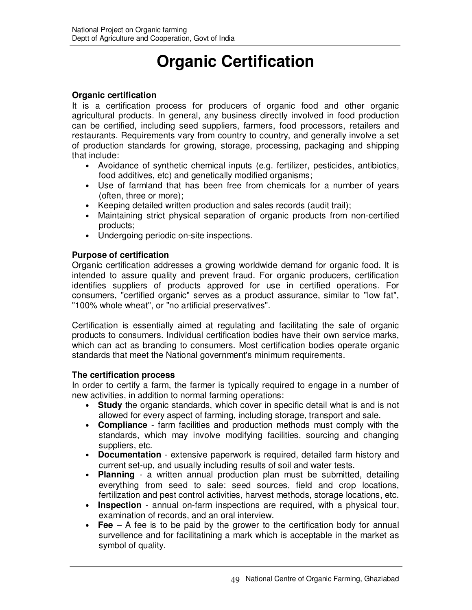# **Organic Certification**

#### **Organic certification**

It is a certification process for producers of organic food and other organic agricultural products. In general, any business directly involved in food production can be certified, including seed suppliers, farmers, food processors, retailers and restaurants. Requirements vary from country to country, and generally involve a set of production standards for growing, storage, processing, packaging and shipping that include:

- Avoidance of synthetic chemical inputs (e.g. fertilizer, pesticides, antibiotics, food additives, etc) and genetically modified organisms;
- Use of farmland that has been free from chemicals for a number of years (often, three or more);
- Keeping detailed written production and sales records (audit trail);
- Maintaining strict physical separation of organic products from non-certified products;
- Undergoing periodic on-site inspections.

#### **Purpose of certification**

Organic certification addresses a growing worldwide demand for organic food. It is intended to assure quality and prevent fraud. For organic producers, certification identifies suppliers of products approved for use in certified operations. For consumers, "certified organic" serves as a product assurance, similar to "low fat", "100% whole wheat", or "no artificial preservatives".

Certification is essentially aimed at regulating and facilitating the sale of organic products to consumers. Individual certification bodies have their own service marks, which can act as branding to consumers. Most certification bodies operate organic standards that meet the National government's minimum requirements.

# **The certification process**

In order to certify a farm, the farmer is typically required to engage in a number of new activities, in addition to normal farming operations:

- **Study** the organic standards, which cover in specific detail what is and is not allowed for every aspect of farming, including storage, transport and sale.
- **Compliance** farm facilities and production methods must comply with the standards, which may involve modifying facilities, sourcing and changing suppliers, etc.
- **Documentation** extensive paperwork is required, detailed farm history and current set-up, and usually including results of soil and water tests.
- **Planning** a written annual production plan must be submitted, detailing everything from seed to sale: seed sources, field and crop locations, fertilization and pest control activities, harvest methods, storage locations, etc.
- **Inspection** annual on-farm inspections are required, with a physical tour, examination of records, and an oral interview.
- **Fee** A fee is to be paid by the grower to the certification body for annual survellence and for facilitatining a mark which is acceptable in the market as symbol of quality.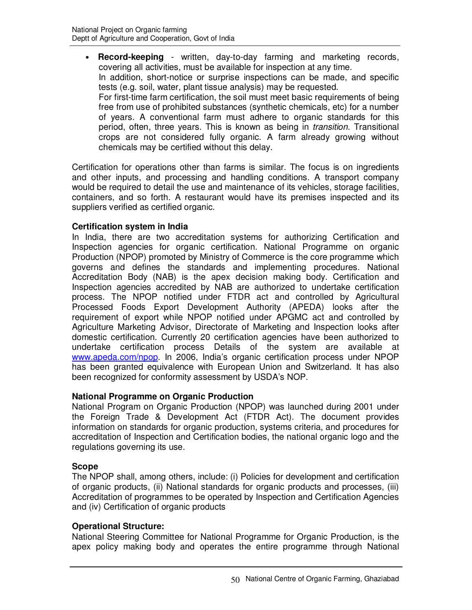• **Record-keeping** - written, day-to-day farming and marketing records, covering all activities, must be available for inspection at any time. In addition, short-notice or surprise inspections can be made, and specific tests (e.g. soil, water, plant tissue analysis) may be requested. For first-time farm certification, the soil must meet basic requirements of being free from use of prohibited substances (synthetic chemicals, etc) for a number of years. A conventional farm must adhere to organic standards for this period, often, three years. This is known as being in *transition*. Transitional crops are not considered fully organic. A farm already growing without chemicals may be certified without this delay.

Certification for operations other than farms is similar. The focus is on ingredients and other inputs, and processing and handling conditions. A transport company would be required to detail the use and maintenance of its vehicles, storage facilities, containers, and so forth. A restaurant would have its premises inspected and its suppliers verified as certified organic.

#### **Certification system in India**

In India, there are two accreditation systems for authorizing Certification and Inspection agencies for organic certification. National Programme on organic Production (NPOP) promoted by Ministry of Commerce is the core programme which governs and defines the standards and implementing procedures. National Accreditation Body (NAB) is the apex decision making body. Certification and Inspection agencies accredited by NAB are authorized to undertake certification process. The NPOP notified under FTDR act and controlled by Agricultural Processed Foods Export Development Authority (APEDA) looks after the requirement of export while NPOP notified under APGMC act and controlled by Agriculture Marketing Advisor, Directorate of Marketing and Inspection looks after domestic certification. Currently 20 certification agencies have been authorized to undertake certification process Details of the system are available at www.apeda.com/npop. In 2006, India's organic certification process under NPOP has been granted equivalence with European Union and Switzerland. It has also been recognized for conformity assessment by USDA's NOP.

#### **National Programme on Organic Production**

National Program on Organic Production (NPOP) was launched during 2001 under the Foreign Trade & Development Act (FTDR Act). The document provides information on standards for organic production, systems criteria, and procedures for accreditation of Inspection and Certification bodies, the national organic logo and the regulations governing its use.

#### **Scope**

The NPOP shall, among others, include: (i) Policies for development and certification of organic products, (ii) National standards for organic products and processes, (iii) Accreditation of programmes to be operated by Inspection and Certification Agencies and (iv) Certification of organic products

#### **Operational Structure:**

National Steering Committee for National Programme for Organic Production, is the apex policy making body and operates the entire programme through National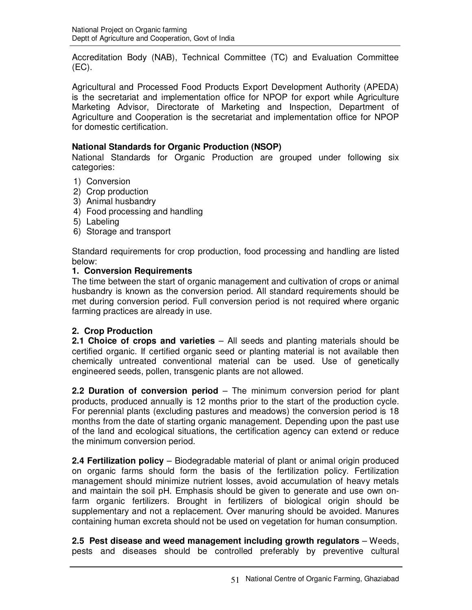Accreditation Body (NAB), Technical Committee (TC) and Evaluation Committee (EC).

Agricultural and Processed Food Products Export Development Authority (APEDA) is the secretariat and implementation office for NPOP for export while Agriculture Marketing Advisor, Directorate of Marketing and Inspection, Department of Agriculture and Cooperation is the secretariat and implementation office for NPOP for domestic certification.

# **National Standards for Organic Production (NSOP)**

National Standards for Organic Production are grouped under following six categories:

- 1) Conversion
- 2) Crop production
- 3) Animal husbandry
- 4) Food processing and handling
- 5) Labeling
- 6) Storage and transport

Standard requirements for crop production, food processing and handling are listed below:

# **1. Conversion Requirements**

The time between the start of organic management and cultivation of crops or animal husbandry is known as the conversion period. All standard requirements should be met during conversion period. Full conversion period is not required where organic farming practices are already in use.

# **2. Crop Production**

**2.1 Choice of crops and varieties** – All seeds and planting materials should be certified organic. If certified organic seed or planting material is not available then chemically untreated conventional material can be used. Use of genetically engineered seeds, pollen, transgenic plants are not allowed.

**2.2 Duration of conversion period** – The minimum conversion period for plant products, produced annually is 12 months prior to the start of the production cycle. For perennial plants (excluding pastures and meadows) the conversion period is 18 months from the date of starting organic management. Depending upon the past use of the land and ecological situations, the certification agency can extend or reduce the minimum conversion period.

**2.4 Fertilization policy** – Biodegradable material of plant or animal origin produced on organic farms should form the basis of the fertilization policy. Fertilization management should minimize nutrient losses, avoid accumulation of heavy metals and maintain the soil pH. Emphasis should be given to generate and use own onfarm organic fertilizers. Brought in fertilizers of biological origin should be supplementary and not a replacement. Over manuring should be avoided. Manures containing human excreta should not be used on vegetation for human consumption.

**2.5 Pest disease and weed management including growth regulators** – Weeds, pests and diseases should be controlled preferably by preventive cultural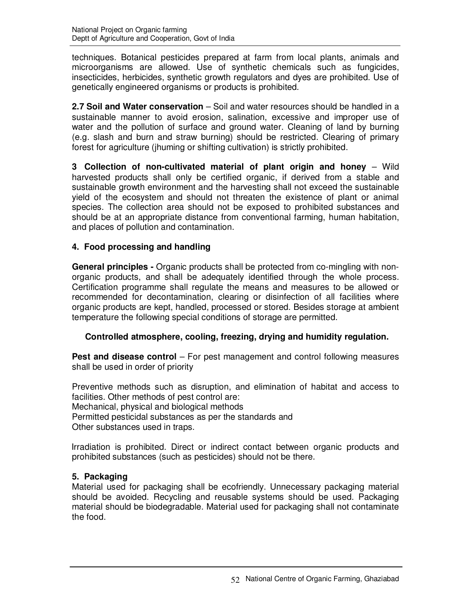techniques. Botanical pesticides prepared at farm from local plants, animals and microorganisms are allowed. Use of synthetic chemicals such as fungicides, insecticides, herbicides, synthetic growth regulators and dyes are prohibited. Use of genetically engineered organisms or products is prohibited.

**2.7 Soil and Water conservation** – Soil and water resources should be handled in a sustainable manner to avoid erosion, salination, excessive and improper use of water and the pollution of surface and ground water. Cleaning of land by burning (e.g. slash and burn and straw burning) should be restricted. Clearing of primary forest for agriculture (jhuming or shifting cultivation) is strictly prohibited.

**3 Collection of non-cultivated material of plant origin and honey** – Wild harvested products shall only be certified organic, if derived from a stable and sustainable growth environment and the harvesting shall not exceed the sustainable yield of the ecosystem and should not threaten the existence of plant or animal species. The collection area should not be exposed to prohibited substances and should be at an appropriate distance from conventional farming, human habitation, and places of pollution and contamination.

# **4. Food processing and handling**

**General principles -** Organic products shall be protected from co-mingling with nonorganic products, and shall be adequately identified through the whole process. Certification programme shall regulate the means and measures to be allowed or recommended for decontamination, clearing or disinfection of all facilities where organic products are kept, handled, processed or stored. Besides storage at ambient temperature the following special conditions of storage are permitted.

# **Controlled atmosphere, cooling, freezing, drying and humidity regulation.**

**Pest and disease control** – For pest management and control following measures shall be used in order of priority

Preventive methods such as disruption, and elimination of habitat and access to facilities. Other methods of pest control are: Mechanical, physical and biological methods Permitted pesticidal substances as per the standards and Other substances used in traps.

Irradiation is prohibited. Direct or indirect contact between organic products and prohibited substances (such as pesticides) should not be there.

# **5. Packaging**

Material used for packaging shall be ecofriendly. Unnecessary packaging material should be avoided. Recycling and reusable systems should be used. Packaging material should be biodegradable. Material used for packaging shall not contaminate the food.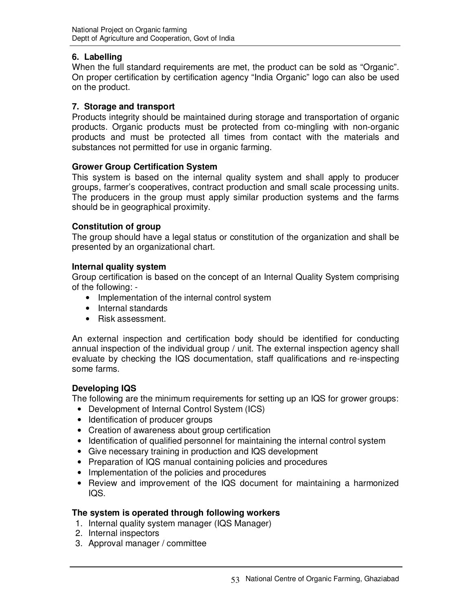# **6. Labelling**

When the full standard requirements are met, the product can be sold as "Organic". On proper certification by certification agency "India Organic" logo can also be used on the product.

# **7. Storage and transport**

Products integrity should be maintained during storage and transportation of organic products. Organic products must be protected from co-mingling with non-organic products and must be protected all times from contact with the materials and substances not permitted for use in organic farming.

# **Grower Group Certification System**

This system is based on the internal quality system and shall apply to producer groups, farmer's cooperatives, contract production and small scale processing units. The producers in the group must apply similar production systems and the farms should be in geographical proximity.

#### **Constitution of group**

The group should have a legal status or constitution of the organization and shall be presented by an organizational chart.

#### **Internal quality system**

Group certification is based on the concept of an Internal Quality System comprising of the following: -

- Implementation of the internal control system
- Internal standards
- Risk assessment.

An external inspection and certification body should be identified for conducting annual inspection of the individual group / unit. The external inspection agency shall evaluate by checking the IQS documentation, staff qualifications and re-inspecting some farms.

# **Developing IQS**

The following are the minimum requirements for setting up an IQS for grower groups:

- Development of Internal Control System (ICS)
- Identification of producer groups
- Creation of awareness about group certification
- Identification of qualified personnel for maintaining the internal control system
- Give necessary training in production and IQS development
- Preparation of IQS manual containing policies and procedures
- Implementation of the policies and procedures
- Review and improvement of the IQS document for maintaining a harmonized IQS.

#### **The system is operated through following workers**

- 1. Internal quality system manager (IQS Manager)
- 2. Internal inspectors
- 3. Approval manager / committee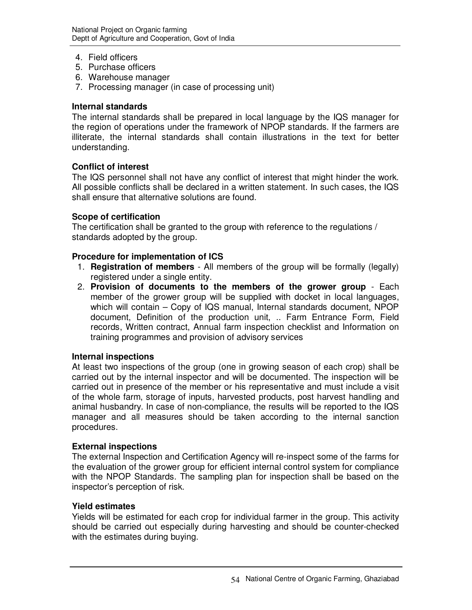- 4. Field officers
- 5. Purchase officers
- 6. Warehouse manager
- 7. Processing manager (in case of processing unit)

#### **Internal standards**

The internal standards shall be prepared in local language by the IQS manager for the region of operations under the framework of NPOP standards. If the farmers are illiterate, the internal standards shall contain illustrations in the text for better understanding.

# **Conflict of interest**

The IQS personnel shall not have any conflict of interest that might hinder the work. All possible conflicts shall be declared in a written statement. In such cases, the IQS shall ensure that alternative solutions are found.

#### **Scope of certification**

The certification shall be granted to the group with reference to the regulations / standards adopted by the group.

#### **Procedure for implementation of ICS**

- 1. **Registration of members** All members of the group will be formally (legally) registered under a single entity.
- 2. **Provision of documents to the members of the grower group** Each member of the grower group will be supplied with docket in local languages, which will contain – Copy of IQS manual, Internal standards document, NPOP document, Definition of the production unit, .. Farm Entrance Form, Field records, Written contract, Annual farm inspection checklist and Information on training programmes and provision of advisory services

#### **Internal inspections**

At least two inspections of the group (one in growing season of each crop) shall be carried out by the internal inspector and will be documented. The inspection will be carried out in presence of the member or his representative and must include a visit of the whole farm, storage of inputs, harvested products, post harvest handling and animal husbandry. In case of non-compliance, the results will be reported to the IQS manager and all measures should be taken according to the internal sanction procedures.

#### **External inspections**

The external Inspection and Certification Agency will re-inspect some of the farms for the evaluation of the grower group for efficient internal control system for compliance with the NPOP Standards. The sampling plan for inspection shall be based on the inspector's perception of risk.

#### **Yield estimates**

Yields will be estimated for each crop for individual farmer in the group. This activity should be carried out especially during harvesting and should be counter-checked with the estimates during buying.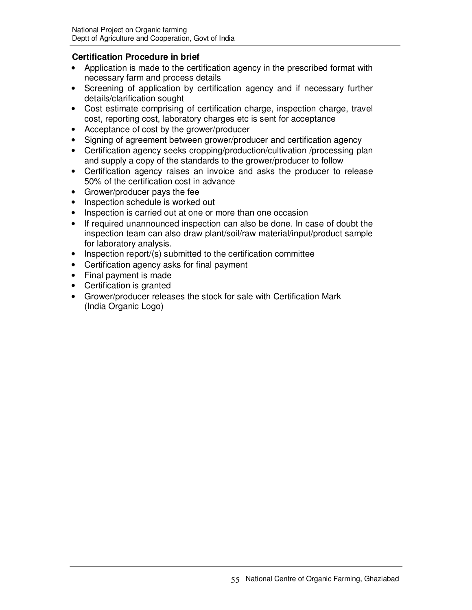# **Certification Procedure in brief**

- Application is made to the certification agency in the prescribed format with necessary farm and process details
- Screening of application by certification agency and if necessary further details/clarification sought
- Cost estimate comprising of certification charge, inspection charge, travel cost, reporting cost, laboratory charges etc is sent for acceptance
- Acceptance of cost by the grower/producer
- Signing of agreement between grower/producer and certification agency
- Certification agency seeks cropping/production/cultivation /processing plan and supply a copy of the standards to the grower/producer to follow
- Certification agency raises an invoice and asks the producer to release 50% of the certification cost in advance
- Grower/producer pays the fee
- Inspection schedule is worked out
- Inspection is carried out at one or more than one occasion
- If required unannounced inspection can also be done. In case of doubt the inspection team can also draw plant/soil/raw material/input/product sample for laboratory analysis.
- Inspection report/(s) submitted to the certification committee
- Certification agency asks for final payment
- Final payment is made
- Certification is granted
- Grower/producer releases the stock for sale with Certification Mark (India Organic Logo)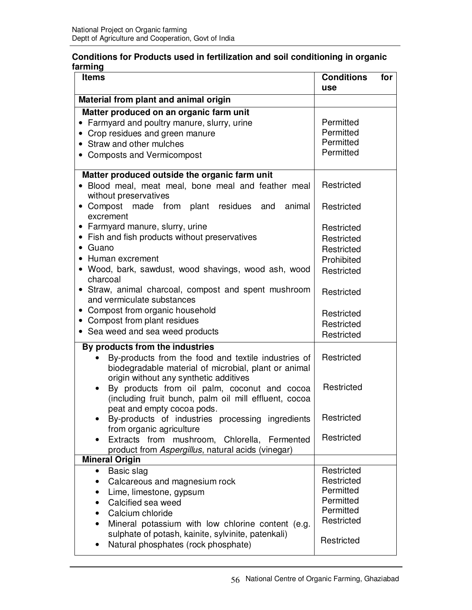#### **Conditions for Products used in fertilization and soil conditioning in organic farming**

| <b>Items</b>                                                                                                                                                                                        | <b>Conditions</b><br>use                                           | for |
|-----------------------------------------------------------------------------------------------------------------------------------------------------------------------------------------------------|--------------------------------------------------------------------|-----|
| Material from plant and animal origin                                                                                                                                                               |                                                                    |     |
| Matter produced on an organic farm unit<br>• Farmyard and poultry manure, slurry, urine<br>Crop residues and green manure<br>• Straw and other mulches<br>• Composts and Vermicompost               | Permitted<br>Permitted<br>Permitted<br>Permitted                   |     |
| Matter produced outside the organic farm unit<br>• Blood meal, meat meal, bone meal and feather meal<br>without preservatives<br>• Compost made from plant residues and<br>animal                   | Restricted<br>Restricted                                           |     |
| excrement<br>Farmyard manure, slurry, urine<br>Fish and fish products without preservatives<br>• Guano<br>Human excrement<br>Wood, bark, sawdust, wood shavings, wood ash, wood                     | Restricted<br>Restricted<br>Restricted<br>Prohibited<br>Restricted |     |
| charcoal<br>• Straw, animal charcoal, compost and spent mushroom<br>and vermiculate substances<br>Compost from organic household<br>Compost from plant residues<br>• Sea weed and sea weed products | Restricted<br>Restricted<br>Restricted                             |     |
|                                                                                                                                                                                                     | Restricted                                                         |     |
| By products from the industries<br>By-products from the food and textile industries of<br>biodegradable material of microbial, plant or animal<br>origin without any synthetic additives            | Restricted                                                         |     |
| By products from oil palm, coconut and cocoa<br>(including fruit bunch, palm oil mill effluent, cocoa<br>peat and empty cocoa pods.                                                                 | Restricted                                                         |     |
| By-products of industries processing ingredients<br>from organic agriculture<br>Extracts from mushroom, Chlorella, Fermented                                                                        | Restricted<br>Restricted                                           |     |
| product from Aspergillus, natural acids (vinegar)                                                                                                                                                   |                                                                    |     |
| <b>Mineral Origin</b><br>Basic slag<br>$\bullet$                                                                                                                                                    | Restricted                                                         |     |
| Calcareous and magnesium rock<br>$\bullet$<br>Lime, limestone, gypsum<br>$\bullet$<br>Calcified sea weed<br>$\bullet$<br>Calcium chloride                                                           | Restricted<br>Permitted<br>Permitted<br>Permitted                  |     |
| Mineral potassium with low chlorine content (e.g.<br>sulphate of potash, kainite, sylvinite, patenkali)<br>Natural phosphates (rock phosphate)                                                      | Restricted<br>Restricted                                           |     |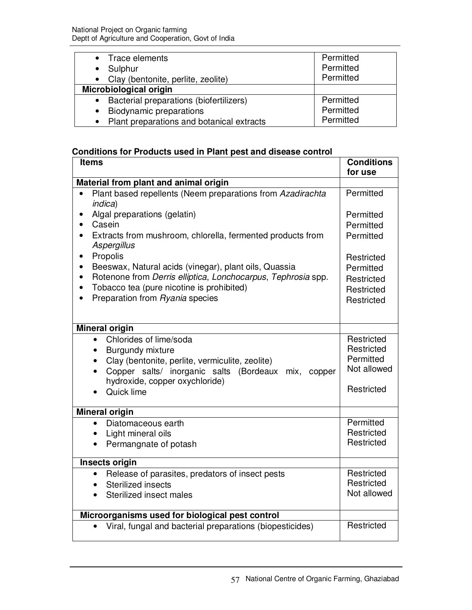|           | • Trace elements                          | Permitted |
|-----------|-------------------------------------------|-----------|
| $\bullet$ | Sulphur                                   | Permitted |
|           | • Clay (bentonite, perlite, zeolite)      | Permitted |
|           | Microbiological origin                    |           |
|           | • Bacterial preparations (biofertilizers) | Permitted |
| $\bullet$ | <b>Biodynamic preparations</b>            | Permitted |
|           | Plant preparations and botanical extracts | Permitted |

# **Conditions for Products used in Plant pest and disease control**

| <b>Items</b>                                                                           | <b>Conditions</b><br>for use |
|----------------------------------------------------------------------------------------|------------------------------|
| Material from plant and animal origin                                                  |                              |
| Plant based repellents (Neem preparations from Azadirachta<br>indica)                  | Permitted                    |
| Algal preparations (gelatin)<br>$\bullet$<br>Casein                                    | Permitted<br>Permitted       |
| Extracts from mushroom, chlorella, fermented products from<br>$\bullet$<br>Aspergillus | Permitted                    |
| Propolis<br>$\bullet$                                                                  | Restricted                   |
| Beeswax, Natural acids (vinegar), plant oils, Quassia<br>$\bullet$                     | Permitted                    |
| Rotenone from Derris elliptica, Lonchocarpus, Tephrosia spp.<br>$\bullet$              | Restricted                   |
| Tobacco tea (pure nicotine is prohibited)<br>$\bullet$                                 | Restricted                   |
| Preparation from Ryania species<br>$\bullet$                                           | Restricted                   |
|                                                                                        |                              |
| <b>Mineral origin</b>                                                                  |                              |
| Chlorides of lime/soda<br>$\bullet$                                                    | Restricted                   |
| <b>Burgundy mixture</b><br>$\bullet$                                                   | Restricted                   |
| Clay (bentonite, perlite, vermiculite, zeolite)                                        | Permitted                    |
| Copper salts/ inorganic salts (Bordeaux mix,                                           | Not allowed<br>copper        |
| hydroxide, copper oxychloride)                                                         | Restricted                   |
| Quick lime                                                                             |                              |
| <b>Mineral origin</b>                                                                  |                              |
| Diatomaceous earth                                                                     | Permitted                    |
| Light mineral oils<br>$\bullet$                                                        | Restricted                   |
| Permangnate of potash                                                                  | Restricted                   |
| Insects origin                                                                         |                              |
| Release of parasites, predators of insect pests                                        | Restricted                   |
| Sterilized insects                                                                     | Restricted                   |
| Sterilized insect males                                                                | Not allowed                  |
| Microorganisms used for biological pest control                                        |                              |
| Viral, fungal and bacterial preparations (biopesticides)                               | Restricted                   |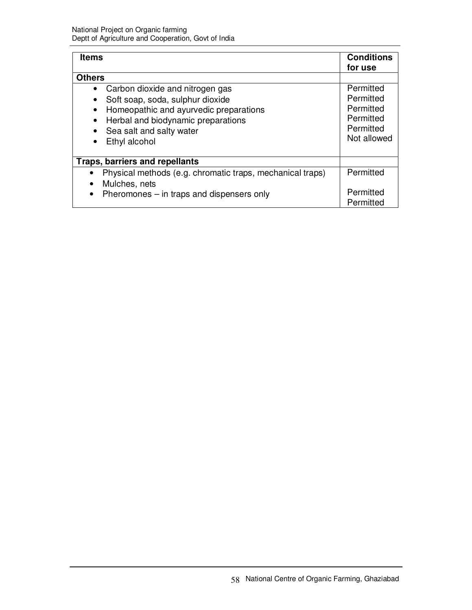| <b>Items</b>                                                                                                                                                                                                                                                                   | <b>Conditions</b><br>for use                                                 |
|--------------------------------------------------------------------------------------------------------------------------------------------------------------------------------------------------------------------------------------------------------------------------------|------------------------------------------------------------------------------|
| <b>Others</b>                                                                                                                                                                                                                                                                  |                                                                              |
| Carbon dioxide and nitrogen gas<br>$\bullet$<br>Soft soap, soda, sulphur dioxide<br>$\bullet$<br>Homeopathic and ayurvedic preparations<br>$\bullet$<br>Herbal and biodynamic preparations<br>$\bullet$<br>Sea salt and salty water<br>$\bullet$<br>Ethyl alcohol<br>$\bullet$ | Permitted<br>Permitted<br>Permitted<br>Permitted<br>Permitted<br>Not allowed |
| <b>Traps, barriers and repellants</b>                                                                                                                                                                                                                                          |                                                                              |
| Physical methods (e.g. chromatic traps, mechanical traps)<br>Mulches, nets<br>$\bullet$                                                                                                                                                                                        | Permitted                                                                    |
| Pheromones $-$ in traps and dispensers only<br>$\bullet$                                                                                                                                                                                                                       | Permitted<br>Permitted                                                       |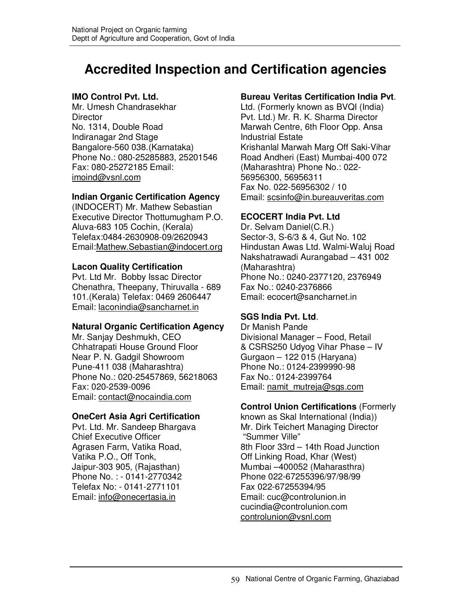# **Accredited Inspection and Certification agencies**

# **IMO Control Pvt. Ltd.**

Mr. Umesh Chandrasekhar **Director** No. 1314, Double Road Indiranagar 2nd Stage Bangalore-560 038.(Karnataka) Phone No.: 080-25285883, 25201546 Fax: 080-25272185 Email: imoind@vsnl.com

# **Indian Organic Certification Agency**

(INDOCERT) Mr. Mathew Sebastian Executive Director Thottumugham P.O. Aluva-683 105 Cochin, (Kerala) Telefax:0484-2630908-09/2620943 Email:Mathew.Sebastian@indocert.org

#### **Lacon Quality Certification**

Pvt. Ltd Mr. Bobby Issac Director Chenathra, Theepany, Thiruvalla - 689 101.(Kerala) Telefax: 0469 2606447 Email: laconindia@sancharnet.in

# **Natural Organic Certification Agency**

Mr. Sanjay Deshmukh, CEO Chhatrapati House Ground Floor Near P. N. Gadgil Showroom Pune-411 038 (Maharashtra) Phone No.: 020-25457869, 56218063 Fax: 020-2539-0096 Email: contact@nocaindia.com

# **OneCert Asia Agri Certification**

Pvt. Ltd. Mr. Sandeep Bhargava Chief Executive Officer Agrasen Farm, Vatika Road, Vatika P.O., Off Tonk, Jaipur-303 905, (Rajasthan) Phone No. : - 0141-2770342 Telefax No: - 0141-2771101 Email: info@onecertasia.in

# **Bureau Veritas Certification India Pvt**.

Ltd. (Formerly known as BVQI (India) Pvt. Ltd.) Mr. R. K. Sharma Director Marwah Centre, 6th Floor Opp. Ansa Industrial Estate Krishanlal Marwah Marg Off Saki-Vihar Road Andheri (East) Mumbai-400 072 (Maharashtra) Phone No.: 022- 56956300, 56956311 Fax No. 022-56956302 / 10 Email: scsinfo@in.bureauveritas.com

# **ECOCERT India Pvt. Ltd**

Dr. Selvam Daniel(C.R.) Sector-3, S-6/3 & 4, Gut No. 102 Hindustan Awas Ltd. Walmi-Waluj Road Nakshatrawadi Aurangabad – 431 002 (Maharashtra) Phone No.: 0240-2377120, 2376949 Fax No.: 0240-2376866 Email: ecocert@sancharnet.in

# **SGS India Pvt. Ltd**.

Dr Manish Pande Divisional Manager – Food, Retail & CSRS250 Udyog Vihar Phase – IV Gurgaon – 122 015 (Haryana) Phone No.: 0124-2399990-98 Fax No.: 0124-2399764 Email: namit\_mutreja@sgs.com

# **Control Union Certifications** (Formerly

known as Skal International (India)) Mr. Dirk Teichert Managing Director "Summer Ville" 8th Floor 33rd – 14th Road Junction Off Linking Road, Khar (West) Mumbai –400052 (Maharasthra) Phone 022-67255396/97/98/99 Fax 022-67255394/95 Email: cuc@controlunion.in cucindia@controlunion.com controlunion@vsnl.com